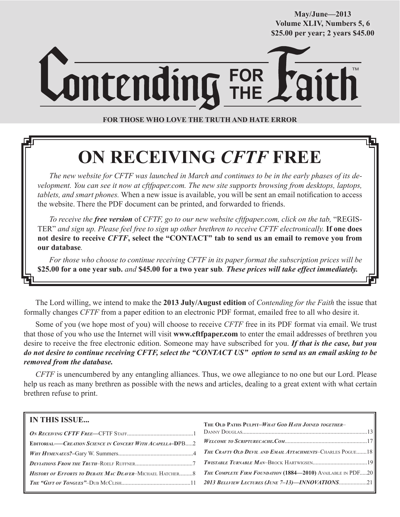**May/June—2013 Volume XLIV, Numbers 5, 6 \$25.00 per year; 2 years \$45.00**

# **FOR THE** TM

**FOR THOSE WHO LOVE THE TRUTH AND HATE ERROR**

# **ON RECEIVING** *CFTF* **FREE**

*The new website for CFTF was launched in March and continues to be in the early phases of its development. You can see it now at cftfpaper.com. The new site supports browsing from desktops, laptops, tablets, and smart phones.* When a new issue is available, you will be sent an email notification to access the website. There the PDF document can be printed, and forwarded to friends.

*To receive the free version* of *CFTF, go to our new website cftfpaper.com, click on the tab,* "REGIS-TER" *and sign up. Please feel free to sign up other brethren to receive CFTF electronically.* **If one does not desire to receive** *CFTF***, select the "CONTACT" tab to send us an email to remove you from our database***.*

*For those who choose to continue receiving CFTF in its paper format the subscription prices will be*  **\$25.00 for a one year sub.** *and* **\$45.00 for a two year sub***. These prices will take effect immediately.*

The Lord willing, we intend to make the **2013 July/August edition** of *Contending for the Faith* the issue that formally changes *CFTF* from a paper edition to an electronic PDF format, emailed free to all who desire it.

Some of you (we hope most of you) will choose to receive *CFTF* free in its PDF format via email. We trust that those of you who use the Internet will visit **www.cftfpaper.com** to enter the email addresses of brethren you desire to receive the free electronic edition. Someone may have subscribed for you. *If that is the case, but you do not desire to continue receiving CFTF, select the "CONTACT US" option to send us an email asking to be removed from the database.*

*CFTF* is unencumbered by any entangling alliances. Thus, we owe allegiance to no one but our Lord. Please help us reach as many brethren as possible with the news and articles, dealing to a great extent with what certain brethren refuse to print.

| <b>IN THIS ISSUE</b>                                     | THE OLD PATHS PULPIT-WHAT GOD HATH JOINED TOGETHER-                |
|----------------------------------------------------------|--------------------------------------------------------------------|
|                                                          |                                                                    |
| EDITORIAL-CREATION SCIENCE IN CONCERT WITH ACAPELLA-DPB2 |                                                                    |
|                                                          | <b>THE CRAFTY OLD DEVIL AND EMAIL ATTACHMENTS-CHARLES POGUE18</b>  |
|                                                          |                                                                    |
| HISTORY OF EFFORTS TO DEBATE MAC DEAVER-MICHAEL HATCHER8 | <b>THE COMPLETE FIRM FOUNDATION (1884—2010)</b> AVAILABLE IN PDF20 |
|                                                          | 2013 BELLVIEW LECTURES (JUNE 7-13)-INNOVATIONS21                   |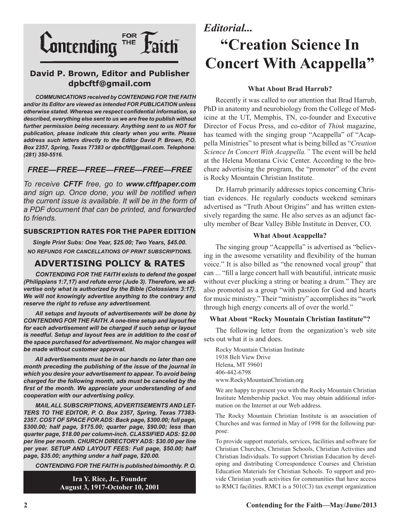

### **David P. Brown, Editor and Publisher dpbcftf@gmail.com**

*COMMUNICATIONS received by CONTENDING FOR THE FAITH and/or its Editor are viewed as intended FOR PUBLICATION unless otherwise stated. Whereas we respect confidential information, so described, everything else sent to us we are free to publish without further permission being necessary. Anything sent to us NOT for publication, please indicate this clearly when you write. Please address such letters directly to the Editor David P. Brown, P.O. Box 2357, Spring, Texas 77383 or dpbcftf@gmail.com. Telephone: (281) 350-5516.*

### *FREE—FREE—FREE—FREE—FREE—FREE*

*To receive CFTF free, go to www.cftfpaper.com and sign up. Once done, you will be notified when the current issue is available. It will be in the form of a PDF document that can be printed, and forwarded to friends.*

#### **SUBSCRIPTION RATES FOR THE PAPER EDITION**

*Single Print Subs: One Year, \$25.00; Two Years, \$45.00. NO REFUNDS FOR CANCELLATIONS OF PRINT SUBSCRIPTIONS.*

### **ADVERTISING POLICY & RATES**

*CONTENDING FOR THE FAITH exists to defend the gospel (Philippians 1:7,17) and refute error (Jude 3). Therefore, we advertise only what is authorized by the Bible (Colossians 3:17). We will not knowingly advertise anything to the contrary and reserve the right to refuse any advertisement.*

*All setups and layouts of advertisements will be done by CONTENDING FOR THE FAITH. A one-time setup and layout fee for each advertisement will be charged if such setup or layout is needful. Setup and layout fees are in addition to the cost of the space purchased for advertisement. No major changes will be made without customer approval.*

*All advertisements must be in our hands no later than one month preceding the publishing of the issue of the journal in which you desire your advertisement to appear. To avoid being charged for the following month, ads must be canceled by the first of the month. We appreciate your understanding of and cooperation with our advertising policy.*

*MAIL ALL SUBSCRIPTIONS, ADVERTISEMENTS AND LET-TERS TO THE EDITOR, P. O. Box 2357, Spring, Texas 77383- 2357. COST OF SPACE FOR ADS: Back page, \$300.00; full page, \$300.00; half page, \$175.00; quarter page, \$90.00; less than quarter page, \$18.00 per column-inch. CLASSIFIED ADS: \$2.00 per line per month. CHURCH DIRECTORY ADS: \$30.00 per line per year. SETUP AND LAYOUT FEES: Full page, \$50.00; half page, \$35.00; anything under a half page, \$20.00.*

*CONTENDING FOR THE FAITH is published bimonthly. P. O.* 

**Ira Y. Rice, Jr., Founder August 3, 1917-October 10, 2001**

## *Editorial...*

# **"Creation Science In Concert With Acappella"**

#### **What About Brad Harrub?**

Recently it was called to our attention that Brad Harrub, PhD in anatomy and neurobiology from the College of Medicine at the UT, Memphis, TN, co-founder and Executive Director of Focus Press, and co-editor of *Think* magazine, has teamed with the singing group "Acappella" of "Acappella Ministries" to present what is being billed as "*Creation Science In Concert With Acappella."* The event will be held at the Helena Montana Civic Center. According to the brochure advertising the program, the "promoter" of the event is Rocky Mountain Christian Institute.

Dr. Harrub primarily addresses topics concerning Christian evidences. He regularly conducts weekend seminars advertised as "Truth About Origins" and has written extensively regarding the same. He also serves as an adjunct faculty member of Bear Valley Bible Institute in Denver, CO.

#### **What About Acappella?**

The singing group "Acappella" is advertised as "believing in the awesome versatility and flexibility of the human voice." It is also billed as "the renowned vocal group" that can ... "fill a large concert hall with beautiful, intricate music without ever plucking a string or beating a drum." They are also promoted as a group "with passion for God and hearts for music ministry." Their "ministry" accomplishes its "work through high energy concerts all of over the world."

#### **What About "Rocky Mountain Christian Institute"?**

The following letter from the organization's web site sets out what it is and does.

Rocky Mountain Christian Institute 1938 Belt View Drive Helena, MT 59601 406-442-6798 www.RockyMountainChristian.org

We are happy to present you with the Rocky Mountain Christian Institute Membership packet. You may obtain additional information on the Internet at our Web address.

The Rocky Mountain Christian Institute is an association of Churches and was formed in May of 1998 for the following purpose:

To provide support materials, services, facilities and software for Christian Churches, Christian Schools, Christian Activities and Christian Individuals. To support Christian Education by developing and distributing Correspondence Courses and Christian Education Materials for Christian Schools. To support and provide Christian youth activities for communities that have access to RMCI facilities. RMCI is a 501(C3) tax exempt organization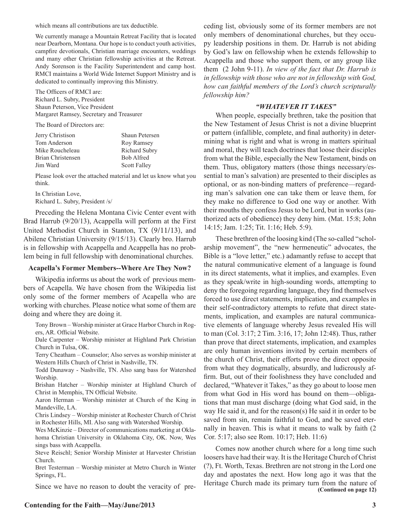which means all contributions are tax deductible.

We currently manage a Mountain Retreat Facility that is located near Dearborn, Montana. Our hope is to conduct youth activities, campfire devotionals, Christian marriage encounters, weddings and many other Christian fellowship activities at the Retreat. Andy Sorenson is the Facility Superintendent and camp host. RMCI maintains a World Wide Internet Support Ministry and is dedicated to continually improving this Ministry.

The Officers of RMCI are: Richard L. Subry, President Shaun Peterson, Vice President Margaret Ramsey, Secretary and Treasurer

The Board of Directors are:

| Jerry Christison  | Shaun Petersen       |
|-------------------|----------------------|
| Tom Anderson      | Roy Ramsey           |
| Mike Roucheleau   | <b>Richard Subry</b> |
| Brian Christensen | Bob Alfred           |
| Jim Ward          | <b>Scott Falley</b>  |

Please look over the attached material and let us know what you think.

In Christian Love, Richard L. Subry, President /s/

Preceding the Helena Montana Civic Center event with Brad Harrub (9/20/13), Acappella will perform at the First United Methodist Church in Stanton, TX (9/11/13), and Abilene Christian University (9/15/13). Clearly bro. Harrub is in fellowship with Acappella and Acappella has no problem being in full fellowship with denominational churches.

#### **Acapella's Former Members--Where Are They Now?**

Wikipedia informs us about the work of previous members of Acapella. We have chosen from the Wikipedia list only some of the former members of Acapella who are working with churches. Please notice what some of them are doing and where they are doing it.

Tony Brown – Worship minister at Grace Harbor Church in Rogers, AR. Official Website.

Dale Carpenter – Worship minister at Highland Park Christian Church in Tulsa, OK.

Terry Cheatham – Counselor; Also serves as worship minister at Western Hills Church of Christ in Nashville, TN.

Todd Dunaway - Nashville, TN. Also sang bass for Watershed Worship.

Brishan Hatcher – Worship minister at Highland Church of Christ in Memphis, TN Official Website.

Aaron Herman – Worship minister at Church of the King in Mandeville, LA.

Chris Lindsey – Worship minister at Rochester Church of Christ in Rochester Hills, MI. Also sang with Watershed Worship.

Wes McKinzie – Director of communications marketing at Oklahoma Christian University in Oklahoma City, OK. Now, Wes sings bass with Acappella.

Steve Reischl; Senior Worship Minister at Harvester Christian Church.

Bret Testerman – Worship minister at Metro Church in Winter Springs, FL.

Since we have no reason to doubt the veracity of pre-

ceding list, obviously some of its former members are not only members of denominational churches, but they occupy leadership positions in them. Dr. Harrub is not abiding by God's law on fellowship when he extends fellowship to Acappella and those who support them, or any group like them (2 John 9-11). *In view of the fact that Dr. Harrub is in fellowship with those who are not in fellowship with God, how can faithful members of the Lord's church scripturally fellowship him?*

#### *"WHATEVER IT TAKES"*

When people, especially brethren, take the position that the New Testament of Jesus Christ is not a divine blueprint or pattern (infallible, complete, and final authority) in determining what is right and what is wrong in matters spiritual and moral, they will teach doctrines that loose their disciples from what the Bible, especially the New Testament, binds on them. Thus, obligatory matters (those things necessary/essential to man's salvation) are presented to their disciples as optional, or as non-binding matters of preference—regarding man's salvation one can take them or leave them, for they make no difference to God one way or another. With their mouths they confess Jesus to be Lord, but in works (authorized acts of obedience) they deny him. (Mat. 15:8; John 14:15; Jam. 1:25; Tit. 1:16; Heb. 5:9).

These brethren of the loosing kind (The so-called "scholarship movement", the "new hermeneutic" advocates, the Bible is a "love letter," etc.) adamantly refuse to accept that the natural communicative element of a language is found in its direct statements, what it implies, and examples. Even as they speak/write in high-sounding words, attempting to deny the foregoing regarding language, they find themselves forced to use direct statements, implication, and examples in their self-contradictory attempts to refute that direct statements, implication, and examples are natural communicative elements of language whereby Jesus revealed His will to man (Col. 3:17; 2 Tim. 3:16, 17; John 12:48). Thus, rather than prove that direct statements, implication, and examples are only human inventions invited by certain members of the church of Christ, their efforts prove the direct opposite from what they dogmatically, absurdly, and ludicrously affirm. But, out of their foolishness they have concluded and declared, "Whatever it Takes," as they go about to loose men from what God in His word has bound on them—obligations that man must discharge (doing what God said, in the way He said it, and for the reason(s) He said it in order to be saved from sin, remain faithful to God, and be saved eternally in heaven. This is what it means to walk by faith (2 Cor. 5:17; also see Rom. 10:17; Heb. 11:6)

**(Continued on page 12)** Comes now another church where for a long time such loosers have had their way. It is the Heritage Church of Christ (?), Ft. Worth, Texas. Brethren are not strong in the Lord one day and apostates the next. How long ago it was that the Heritage Church made its primary turn from the nature of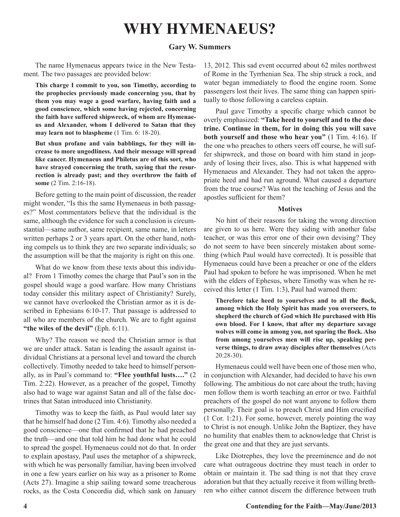## **WHY HYMENAEUS?**

#### **Gary W. Summers**

The name Hymenaeus appears twice in the New Testament. The two passages are provided below:

**This charge I commit to you, son Timothy, according to the prophecies previously made concerning you, that by them you may wage a good warfare, having faith and a good conscience, which some having rejected, concerning the faith have suffered shipwreck, of whom are Hymenaeus and Alexander, whom I delivered to Satan that they may learn not to blaspheme** (1 Tim. 6: 18-20).

**But shun profane and vain babblings, for they will increase to more ungodliness. And their message will spread like cancer. Hymenaeus and Philetus are of this sort, who have strayed concerning the truth, saying that the resurrection is already past; and they overthrow the faith of some** (2 Tim. 2:16-18).

Before getting to the main point of discussion, the reader might wonder, "Is this the same Hymenaeus in both passages?" Most commentators believe that the individual is the same, although the evidence for such a conclusion is circumstantial—same author, same recipient, same name, in letters written perhaps 2 or 3 years apart. On the other hand, nothing compels us to think they are two separate individuals; so the assumption will be that the majority is right on this one.

What do we know from these texts about this individual? From 1 Timothy comes the charge that Paul's son in the gospel should wage a good warfare. How many Christians today consider this military aspect of Christianity? Surely, we cannot have overlooked the Christian armor as it is described in Ephesians 6:10-17. That passage is addressed to all who are members of the church. We are to fight against **"the wiles of the devil"** (Eph. 6:11).

Why? The reason we need the Christian armor is that we are under attack. Satan is leading the assault against individual Christians at a personal level and toward the church collectively. Timothy needed to take heed to himself personally, as in Paul's command to: **"Flee youthful lusts…."** (2 Tim. 2:22). However, as a preacher of the gospel, Timothy also had to wage war against Satan and all of the false doctrines that Satan introduced into Christianity.

Timothy was to keep the faith, as Paul would later say that he himself had done (2 Tim. 4:6). Timothy also needed a good conscience—one that confirmed that he had preached the truth—and one that told him he had done what he could to spread the gospel. Hymenaeus could not do that. In order to explain apostasy, Paul uses the metaphor of a shipwreck, with which he was personally familiar, having been involved in one a few years earlier on his way as a prisoner to Rome (Acts 27). Imagine a ship sailing toward some treacherous rocks, as the Costa Concordia did, which sank on January

13, 2012. This sad event occurred about 62 miles northwest of Rome in the Tyrrhenian Sea. The ship struck a rock, and water began immediately to flood the engine room. Some passengers lost their lives. The same thing can happen spiritually to those following a careless captain.

Paul gave Timothy a specific charge which cannot be overly emphasized: **"Take heed to yourself and to the doctrine. Continue in them, for in doing this you will save both yourself and those who hear you"** (1 Tim. 4:16). If the one who preaches to others veers off course, he will suffer shipwreck, and those on board with him stand in jeopardy of losing their lives, also. This is what happened with Hymenaeus and Alexander. They had not taken the appropriate heed and had run aground. What caused a departure from the true course? Was not the teaching of Jesus and the apostles sufficient for them?

#### **Motives**

No hint of their reasons for taking the wrong direction are given to us here. Were they siding with another false teacher, or was this error one of their own devising? They do not seem to have been sincerely mistaken about something (which Paul would have corrected). It is possible that Hymenaeus could have been a preacher or one of the elders Paul had spoken to before he was imprisoned. When he met with the elders of Ephesus, where Timothy was when he received this letter (1 Tim. 1:3), Paul had warned them:

**Therefore take heed to yourselves and to all the flock, among which the Holy Spirit has made you overseers, to shepherd the church of God which He purchased with His own blood. For I know, that after my departure savage wolves will come in among you, not sparing the flock. Also from among yourselves men will rise up, speaking perverse things, to draw away disciples after themselves** (Acts 20:28-30).

Hymenaeus could well have been one of those men who, in conjunction with Alexander, had decided to have his own following. The ambitious do not care about the truth; having men follow them is worth teaching an error or two. Faithful preachers of the gospel do not want anyone to follow them personally. Their goal is to preach Christ and Him crucified (1 Cor. 1:21). For some, however, merely pointing the way to Christ is not enough. Unlike John the Baptizer, they have no humility that enables them to acknowledge that Christ is the great one and that they are just servants.

Like Diotrephes, they love the preeminence and do not care what outrageous doctrine they must teach in order to obtain or maintain it. The sad thing is not that they crave adoration but that they actually receive it from willing brethren who either cannot discern the difference between truth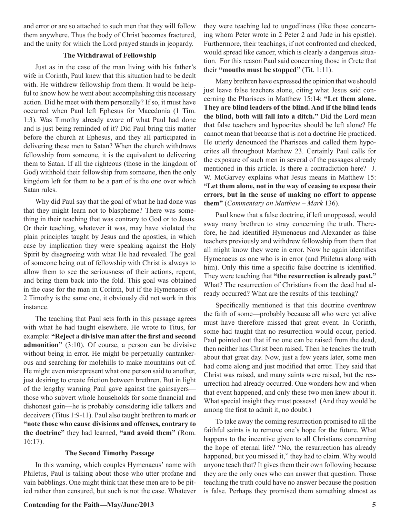and error or are so attached to such men that they will follow them anywhere. Thus the body of Christ becomes fractured, and the unity for which the Lord prayed stands in jeopardy.

#### **The Withdrawal of Fellowship**

Just as in the case of the man living with his father's wife in Corinth, Paul knew that this situation had to be dealt with. He withdrew fellowship from them. It would be helpful to know how he went about accomplishing this necessary action. Did he meet with them personally? If so, it must have occurred when Paul left Ephesus for Macedonia (1 Tim. 1:3). Was Timothy already aware of what Paul had done and is just being reminded of it? Did Paul bring this matter before the church at Ephesus, and they all participated in delivering these men to Satan? When the church withdraws fellowship from someone, it is the equivalent to delivering them to Satan. If all the righteous (those in the kingdom of God) withhold their fellowship from someone, then the only kingdom left for them to be a part of is the one over which Satan rules.

Why did Paul say that the goal of what he had done was that they might learn not to blaspheme? There was something in their teaching that was contrary to God or to Jesus. Or their teaching, whatever it was, may have violated the plain principles taught by Jesus and the apostles, in which case by implication they were speaking against the Holy Spirit by disagreeing with what He had revealed. The goal of someone being out of fellowship with Christ is always to allow them to see the seriousness of their actions, repent, and bring them back into the fold. This goal was obtained in the case for the man in Corinth, but if the Hymenaeus of 2 Timothy is the same one, it obviously did not work in this instance.

The teaching that Paul sets forth in this passage agrees with what he had taught elsewhere. He wrote to Titus, for example: **"Reject a divisive man after the first and second admonition"** (3:10). Of course, a person can be divisive without being in error. He might be perpetually cantankerous and searching for molehills to make mountains out of. He might even misrepresent what one person said to another, just desiring to create friction between brethren. But in light of the lengthy warning Paul gave against the gainsayers those who subvert whole households for some financial and dishonest gain—he is probably considering idle talkers and deceivers (Titus 1:9-11). Paul also taught brethren to mark or **"note those who cause divisions and offenses, contrary to the doctrine"** they had learned, **"and avoid them"** (Rom. 16:17).

#### **The Second Timothy Passage**

In this warning, which couples Hymenaeus' name with Philetus, Paul is talking about those who utter profane and vain babblings. One might think that these men are to be pitied rather than censured, but such is not the case. Whatever they were teaching led to ungodliness (like those concerning whom Peter wrote in 2 Peter 2 and Jude in his epistle). Furthermore, their teachings, if not confronted and checked, would spread like cancer, which is clearly a dangerous situation. For this reason Paul said concerning those in Crete that their **"mouths must be stopped"** (Tit. 1:11).

Many brethren have expressed the opinion that we should just leave false teachers alone, citing what Jesus said concerning the Pharisees in Matthew 15:14: **"Let them alone. They are blind leaders of the blind. And if the blind leads the blind, both will fall into a ditch."** Did the Lord mean that false teachers and hypocrites should be left alone? He cannot mean that because that is not a doctrine He practiced. He utterly denounced the Pharisees and called them hypocrites all throughout Matthew 23. Certainly Paul calls for the exposure of such men in several of the passages already mentioned in this article. Is there a contradiction here? J. W. McGarvey explains what Jesus means in Matthew 15: **"Let them alone, not in the way of ceasing to expose their errors, but in the sense of making no effort to appease them"** (*Commentary on Matthew* – *Mark* 136).

Paul knew that a false doctrine, if left unopposed, would sway many brethren to stray concerning the truth. Therefore, he had identified Hymenaeus and Alexander as false teachers previously and withdrew fellowship from them that all might know they were in error. Now he again identifies Hymenaeus as one who is in error (and Philetus along with him). Only this time a specific false doctrine is identified. They were teaching that **"the resurrection is already past."**  What? The resurrection of Christians from the dead had already occurred? What are the results of this teaching?

Specifically mentioned is that this doctrine overthrew the faith of some—probably because all who were yet alive must have therefore missed that great event. In Corinth, some had taught that no resurrection would occur, period. Paul pointed out that if no one can be raised from the dead, then neither has Christ been raised. Then he teaches the truth about that great day. Now, just a few years later, some men had come along and just modified that error. They said that Christ was raised, and many saints were raised, but the resurrection had already occurred. One wonders how and when that event happened, and only these two men knew about it. What special insight they must possess! (And they would be among the first to admit it, no doubt.)

To take away the coming resurrection promised to all the faithful saints is to remove one's hope for the future. What happens to the incentive given to all Christians concerning the hope of eternal life? "No, the resurrection has already happened, but you missed it," they had to claim. Why would anyone teach that? It gives them their own following because they are the only ones who can answer that question. Those teaching the truth could have no answer because the position is false. Perhaps they promised them something almost as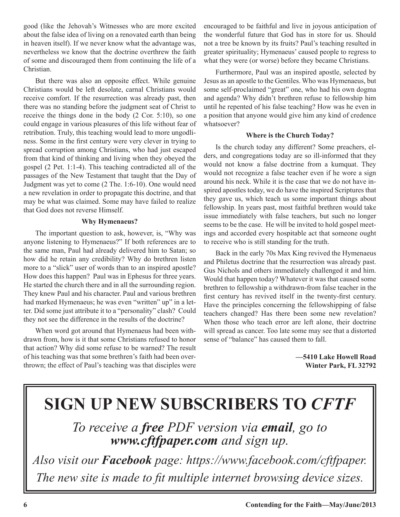good (like the Jehovah's Witnesses who are more excited about the false idea of living on a renovated earth than being in heaven itself). If we never know what the advantage was, nevertheless we know that the doctrine overthrew the faith of some and discouraged them from continuing the life of a Christian.

But there was also an opposite effect. While genuine Christians would be left desolate, carnal Christians would receive comfort. If the resurrection was already past, then there was no standing before the judgment seat of Christ to receive the things done in the body (2 Cor. 5:10), so one could engage in various pleasures of this life without fear of retribution. Truly, this teaching would lead to more ungodliness. Some in the first century were very clever in trying to spread corruption among Christians, who had just escaped from that kind of thinking and living when they obeyed the gospel (2 Pet. 1:1-4). This teaching contradicted all of the passages of the New Testament that taught that the Day of Judgment was yet to come (2 The. 1:6-10). One would need a new revelation in order to propagate this doctrine, and that may be what was claimed. Some may have failed to realize that God does not reverse Himself.

#### **Why Hymenaeus?**

The important question to ask, however, is, "Why was anyone listening to Hymenaeus?" If both references are to the same man, Paul had already delivered him to Satan; so how did he retain any credibility? Why do brethren listen more to a "slick" user of words than to an inspired apostle? How does this happen? Paul was in Ephesus for three years. He started the church there and in all the surrounding region. They knew Paul and his character. Paul and various brethren had marked Hymenaeus; he was even "written" up" in a letter. Did some just attribute it to a "personality" clash? Could they not see the difference in the results of the doctrine?

When word got around that Hymenaeus had been withdrawn from, how is it that some Christians refused to honor that action? Why did some refuse to be warned? The result of his teaching was that some brethren's faith had been overthrown; the effect of Paul's teaching was that disciples were encouraged to be faithful and live in joyous anticipation of the wonderful future that God has in store for us. Should not a tree be known by its fruits? Paul's teaching resulted in greater spirituality; Hymenaeus' caused people to regress to what they were (or worse) before they became Christians.

Furthermore, Paul was an inspired apostle, selected by Jesus as an apostle to the Gentiles. Who was Hymenaeus, but some self-proclaimed "great" one, who had his own dogma and agenda? Why didn't brethren refuse to fellowship him until he repented of his false teaching? How was he even in a position that anyone would give him any kind of credence whatsoever?

#### **Where is the Church Today?**

Is the church today any different? Some preachers, elders, and congregations today are so ill-informed that they would not know a false doctrine from a kumquat. They would not recognize a false teacher even if he wore a sign around his neck. While it is the case that we do not have inspired apostles today, we do have the inspired Scriptures that they gave us, which teach us some important things about fellowship. In years past, most faithful brethren would take issue immediately with false teachers, but such no longer seems to be the case. He will be invited to hold gospel meetings and accorded every hospitable act that someone ought to receive who is still standing for the truth.

Back in the early 70s Max King revived the Hymenaeus and Philetus doctrine that the resurrection was already past. Gus Nichols and others immediately challenged it and him. Would that happen today? Whatever it was that caused some brethren to fellowship a withdrawn-from false teacher in the first century has revived itself in the twenty-first century. Have the principles concerning the fellowshipping of false teachers changed? Has there been some new revelation? When those who teach error are left alone, their doctrine will spread as cancer. Too late some may see that a distorted sense of "balance" has caused them to fall.

> **—5410 Lake Howell Road Winter Park, FL 32792**

# **SIGN UP NEW SUBSCRIBERS TO** *CFTF*

*To receive a free PDF version via email, go to www.cftfpaper.com and sign up.*

*Also visit our Facebook page: https://www.facebook.com/cftfpaper. The new site is made to fit multiple internet browsing device sizes.*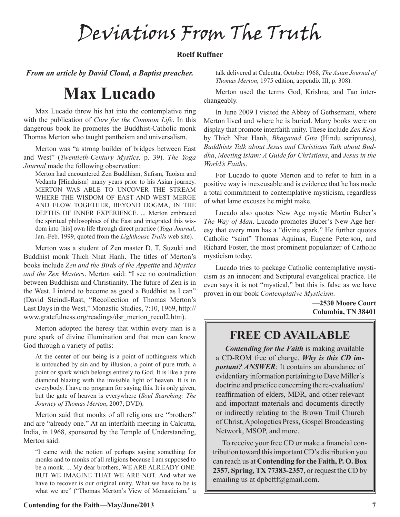Deviations From The Truth

#### **Roelf Ruffner**

*From an article by David Cloud, a Baptist preacher.*

## **Max Lucado**

Max Lucado threw his hat into the contemplative ring with the publication of *Cure for the Common Life*. In this dangerous book he promotes the Buddhist-Catholic monk Thomas Merton who taught pantheism and universalism.

Merton was "a strong builder of bridges between East and West" (*Twentieth-Century Mystics,* p. 39). *The Yoga Journal* made the following observation:

Merton had encountered Zen Buddhism, Sufism, Taoism and Vedanta [Hinduism] many years prior to his Asian journey. MERTON WAS ABLE TO UNCOVER THE STREAM WHERE THE WISDOM OF EAST AND WEST MERGE AND FLOW TOGETHER, BEYOND DOGMA, IN THE DEPTHS OF INNER EXPERIENCE. ... Merton embraced the spiritual philosophies of the East and integrated this wisdom into [his] own life through direct practice (*Yoga Journal*, Jan.-Feb. 1999, quoted from the *Lighthouse Trails* web site).

Merton was a student of Zen master D. T. Suzuki and Buddhist monk Thich Nhat Hanh. The titles of Merton's books include *Zen and the Birds of the Appetite* and *Mystics and the Zen Masters*. Merton said: "I see no contradiction between Buddhism and Christianity. The future of Zen is in the West. I intend to become as good a Buddhist as I can" (David Steindl-Rast, "Recollection of Thomas Merton's Last Days in the West," Monastic Studies, 7:10, 1969, http:// www.gratefulness.org/readings/dsr\_merton\_recol2.htm).

Merton adopted the heresy that within every man is a pure spark of divine illumination and that men can know God through a variety of paths:

At the center of our being is a point of nothingness which is untouched by sin and by illusion, a point of pure truth, a point or spark which belongs entirely to God. It is like a pure diamond blazing with the invisible light of heaven. It is in everybody. I have no program for saying this. It is only given, but the gate of heaven is everywhere (*Soul Searching: The Journey of Thomas Merton*, 2007, DVD).

Merton said that monks of all religions are "brothers" and are "already one." At an interfaith meeting in Calcutta, India, in 1968, sponsored by the Temple of Understanding, Merton said:

"I came with the notion of perhaps saying something for monks and to monks of all religions because I am supposed to be a monk. ... My dear brothers, WE ARE ALREADY ONE. BUT WE IMAGINE THAT WE ARE NOT. And what we have to recover is our original unity. What we have to be is what we are" ("Thomas Merton's View of Monasticism," a talk delivered at Calcutta, October 1968, *The Asian Journal of Thomas Merton*, 1975 edition, appendix III, p. 308).

Merton used the terms God, Krishna, and Tao interchangeably.

In June 2009 I visited the Abbey of Gethsemani, where Merton lived and where he is buried. Many books were on display that promote interfaith unity. These include *Zen Keys* by Thich Nhat Hanh, *Bhagavad Gita* (Hindu scriptures), *Buddhists Talk about Jesus and Christians Talk about Buddha*, *Meeting Islam: A Guide for Christians*, and *Jesus in the World's Faiths*.

For Lucado to quote Merton and to refer to him in a positive way is inexcusable and is evidence that he has made a total commitment to contemplative mysticism, regardless of what lame excuses he might make.

Lucado also quotes New Age mystic Martin Buber's *The Way of Man*. Lucado promotes Buber's New Age heresy that every man has a "divine spark." He further quotes Catholic "saint" Thomas Aquinas, Eugene Peterson, and Richard Foster, the most prominent popularizer of Catholic mysticism today.

Lucado tries to package Catholic contemplative mysticism as an innocent and Scriptural evangelical practice. He even says it is not "mystical," but this is false as we have proven in our book *Contemplative Mysticism*.

> **—2530 Moore Court Columbia, TN 38401**

## **FREE CD AVAILABLE**

*Contending for the Faith* is making available a CD-ROM free of charge. *Why is this CD important? ANSWER*: It contains an abundance of evidentiary information pertaining to Dave Miller's doctrine and practice concerning the re-evaluation/ reaffirmation of elders, MDR, and other relevant and important materials and documents directly or indirectly relating to the Brown Trail Church of Christ, Apologetics Press, Gospel Broadcasting Network, MSOP, and more.

To receive your free CD or make a financial contribution toward this important CD's distribution you can reach us at **Contending for the Faith, P. O. Box 2357, Spring, TX 77383-2357**, or request the CD by emailing us at dpbcftf@gmail.com.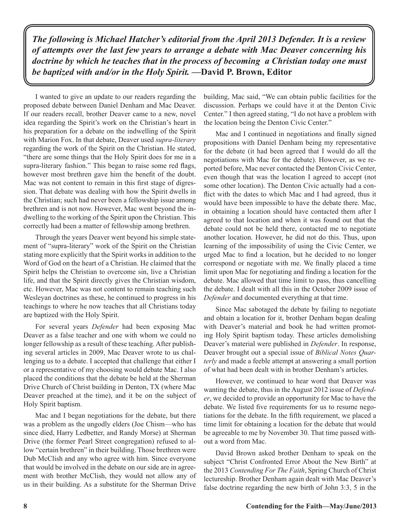*The following is Michael Hatcher's editorial from the April 2013 Defender. It is a review of attempts over the last few years to arrange a debate with Mac Deaver concerning his doctrine by which he teaches that in the process of becoming a Christian today one must be baptized with and/or in the Holy Spirit.* **—David P. Brown, Editor**

I wanted to give an update to our readers regarding the proposed debate between Daniel Denham and Mac Deaver. If our readers recall, brother Deaver came to a new, novel idea regarding the Spirit's work on the Christian's heart in his preparation for a debate on the indwelling of the Spirit with Marion Fox. In that debate, Deaver used *supra-literary*  regarding the work of the Spirit on the Christian. He stated, "there are some things that the Holy Spirit does for me in a supra-literary fashion." This began to raise some red flags, however most brethren gave him the benefit of the doubt. Mac was not content to remain in this first stage of digression. That debate was dealing with how the Spirit dwells in the Christian; such had never been a fellowship issue among brethren and is not now. However, Mac went beyond the indwelling to the working of the Spirit upon the Christian. This correctly had been a matter of fellowship among brethren.

Through the years Deaver went beyond his simple statement of "supra-literary" work of the Spirit on the Christian stating more explicitly that the Spirit works in addition to the Word of God on the heart of a Christian. He claimed that the Spirit helps the Christian to overcome sin, live a Christian life, and that the Spirit directly gives the Christian wisdom, etc. However, Mac was not content to remain teaching such Wesleyan doctrines as these, he continued to progress in his teachings to where he now teaches that all Christians today are baptized with the Holy Spirit.

For several years *Defender* had been exposing Mac Deaver as a false teacher and one with whom we could no longer fellowship as a result of these teaching. After publishing several articles in 2009, Mac Deaver wrote to us challenging us to a debate. I accepted that challenge that either I or a representative of my choosing would debate Mac. I also placed the conditions that the debate be held at the Sherman Drive Church of Christ building in Denton, TX (where Mac Deaver preached at the time), and it be on the subject of Holy Spirit baptism.

Mac and I began negotiations for the debate, but there was a problem as the ungodly elders (Joe Chism—who has since died, Harry Ledbetter, and Randy Morse) at Sherman Drive (the former Pearl Street congregation) refused to allow "certain brethren" in their building. Those brethren were Dub McClish and any who agree with him. Since everyone that would be involved in the debate on our side are in agreement with brother McClish, they would not allow any of us in their building. As a substitute for the Sherman Drive

building, Mac said, "We can obtain public facilities for the discussion. Perhaps we could have it at the Denton Civic Center." I then agreed stating, "I do not have a problem with the location being the Denton Civic Center."

Mac and I continued in negotiations and finally signed propositions with Daniel Denham being my representative for the debate (it had been agreed that I would do all the negotiations with Mac for the debate). However, as we reported before, Mac never contacted the Denton Civic Center, even though that was the location I agreed to accept (not some other location). The Denton Civic actually had a conflict with the dates to which Mac and I had agreed, thus it would have been impossible to have the debate there. Mac, in obtaining a location should have contacted them after I agreed to that location and when it was found out that the debate could not be held there, contacted me to negotiate another location. However, he did not do this. Thus, upon learning of the impossibility of using the Civic Center, we urged Mac to find a location, but he decided to no longer correspond or negotiate with me. We finally placed a time limit upon Mac for negotiating and finding a location for the debate. Mac allowed that time limit to pass, thus cancelling the debate. I dealt with all this in the October 2009 issue of *Defender* and documented everything at that time.

Since Mac sabotaged the debate by failing to negotiate and obtain a location for it, brother Denham began dealing with Deaver's material and book he had written promoting Holy Spirit baptism today. These articles demolishing Deaver's material were published in *Defender*. In response, Deaver brought out a special issue of *Biblical Notes Quarterly* and made a feeble attempt at answering a small portion of what had been dealt with in brother Denham's articles.

However, we continued to hear word that Deaver was wanting the debate, thus in the August 2012 issue of *Defender*, we decided to provide an opportunity for Mac to have the debate. We listed five requirements for us to resume negotiations for the debate. In the fifth requirement, we placed a time limit for obtaining a location for the debate that would be agreeable to me by November 30. That time passed without a word from Mac.

David Brown asked brother Denham to speak on the subject "Christ Confronted Error About the New Birth" at the 2013 *Contending For The Faith*, Spring Church of Christ lectureship. Brother Denham again dealt with Mac Deaver's false doctrine regarding the new birth of John 3:3, 5 in the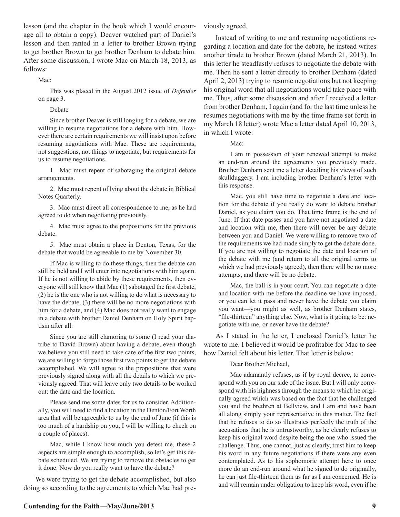lesson (and the chapter in the book which I would encourage all to obtain a copy). Deaver watched part of Daniel's lesson and then ranted in a letter to brother Brown trying to get brother Brown to get brother Denham to debate him. After some discussion, I wrote Mac on March 18, 2013, as follows:

Mac:

This was placed in the August 2012 issue of *Defender*  on page 3.

Debate

Since brother Deaver is still longing for a debate, we are willing to resume negotiations for a debate with him. However there are certain requirements we will insist upon before resuming negotiations with Mac. These are requirements, not suggestions, not things to negotiate, but requirements for us to resume negotiations.

1. Mac must repent of sabotaging the original debate arrangements.

2. Mac must repent of lying about the debate in Biblical Notes Quarterly.

3. Mac must direct all correspondence to me, as he had agreed to do when negotiating previously.

4. Mac must agree to the propositions for the previous debate.

5. Mac must obtain a place in Denton, Texas, for the debate that would be agreeable to me by November 30.

If Mac is willing to do these things, then the debate can still be held and I will enter into negotiations with him again. If he is not willing to abide by these requirements, then everyone will still know that Mac (1) sabotaged the first debate, (2) he is the one who is not willing to do what is necessary to have the debate, (3) there will be no more negotiations with him for a debate, and (4) Mac does not really want to engage in a debate with brother Daniel Denham on Holy Spirit baptism after all.

Since you are still clamoring to some (I read your diatribe to David Brown) about having a debate, even though we believe you still need to take care of the first two points, we are willing to forgo those first two points to get the debate accomplished. We will agree to the propositions that were previously signed along with all the details to which we previously agreed. That will leave only two details to be worked out: the date and the location.

Please send me some dates for us to consider. Additionally, you will need to find a location in the Denton/Fort Worth area that will be agreeable to us by the end of June (if this is too much of a hardship on you, I will be willing to check on a couple of places).

Mac, while I know how much you detest me, these 2 aspects are simple enough to accomplish, so let's get this debate scheduled. We are trying to remove the obstacles to get it done. Now do you really want to have the debate?

We were trying to get the debate accomplished, but also doing so according to the agreements to which Mac had pre-

Instead of writing to me and resuming negotiations regarding a location and date for the debate, he instead writes another tirade to brother Brown (dated March 21, 2013). In this letter he steadfastly refuses to negotiate the debate with me. Then he sent a letter directly to brother Denham (dated April 2, 2013) trying to resume negotiations but not keeping his original word that all negotiations would take place with me. Thus, after some discussion and after I received a letter from brother Denham, I again (and for the last time unless he resumes negotiations with me by the time frame set forth in my March 18 letter) wrote Mac a letter dated April 10, 2013, in which I wrote:

Mac:

I am in possession of your renewed attempt to make an end-run around the agreements you previously made. Brother Denham sent me a letter detailing his views of such skullduggery. I am including brother Denham's letter with this response.

Mac, you still have time to negotiate a date and location for the debate if you really do want to debate brother Daniel, as you claim you do. That time frame is the end of June. If that date passes and you have not negotiated a date and location with me, then there will never be any debate between you and Daniel. We were willing to remove two of the requirements we had made simply to get the debate done. If you are not willing to negotiate the date and location of the debate with me (and return to all the original terms to which we had previously agreed), then there will be no more attempts, and there will be no debate.

Mac, the ball is in your court. You can negotiate a date and location with me before the deadline we have imposed, or you can let it pass and never have the debate you claim you want—you might as well, as brother Denham states, "file-thirteen" anything else. Now, what is it going to be: negotiate with me, or never have the debate?

As I stated in the letter, I enclosed Daniel's letter he wrote to me. I believed it would be profitable for Mac to see how Daniel felt about his letter. That letter is below:

Dear Brother Michael,

Mac adamantly refuses, as if by royal decree, to correspond with you on our side of the issue. But I will only correspond with his highness through the means to which he originally agreed which was based on the fact that he challenged you and the brethren at Bellview, and I am and have been all along simply your representative in this matter. The fact that he refuses to do so illustrates perfectly the truth of the accusations that he is untrustworthy, as he clearly refuses to keep his original word despite being the one who issued the challenge. Thus, one cannot, just as clearly, trust him to keep his word in any future negotiations if there were any even contemplated. As to his sophomoric attempt here to once more do an end-run around what he signed to do originally, he can just file-thirteen them as far as I am concerned. He is and will remain under obligation to keep his word, even if he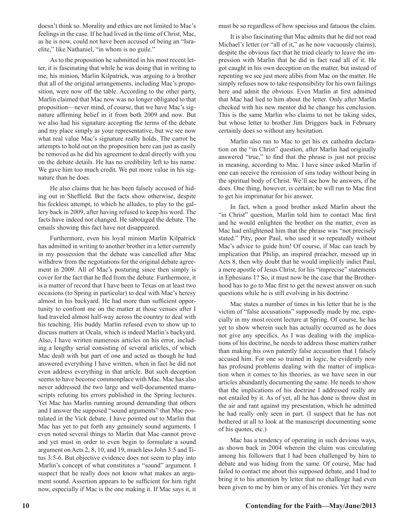doesn't think so. Morality and ethics are not limited to Mac's feelings in the case. If he had lived in the time of Christ, Mac, as he is now, could not have been accused of being an "Israelite," like Nathaniel, "in whom is no guile."

As to the proposition he submitted in his most recent letter, it is fascinating that while he was doing that in writing to me, his minion, Marlin Kilpatrick, was arguing to a brother that all of the original arrangements, including Mac's proposition, were now off the table. According to the other party, Marlin claimed that Mac now was no longer obligated to that proposition—never mind, of course, that we have Mac's signature affirming belief in it from both 2009 and now. But we also had his signature accepting the terms of the debate and my place simply as your representative, but we see now what real value Mac's signature really holds. The carrot he attempts to hold out on the proposition here can just as easily be removed as he did his agreement to deal directly with you on the debate details. He has no credibility left to his name. We gave him too much credit. We put more value in his signature than he does.

He also claims that he has been falsely accused of hiding out in Sheffield. But the facts show otherwise, despite his feckless attempt, to which he alludes, to play to the gallery back in 2009, after having refused to keep his word. The facts have indeed not changed. He sabotaged the debate. The emails showing this fact have not disappeared.

Furthermore, even his loyal minion Marlin Kilpatrick has admitted in writing to another brother in a letter currently in my possession that the debate was cancelled after Mac withdrew from the negotiations for the original debate agreement in 2009. All of Mac's posturing since then simply is cover for the fact that he fled from the debate. Furthermore, it is a matter of record that I have been to Texas on at least two occasions (to Spring in particular) to deal with Mac's heresy almost in his backyard. He had more than sufficient opportunity to confront me on the matter at those venues after I had traveled almost half-way across the country to deal with his teaching. His buddy Marlin refused even to show up to discuss matters at Ocala, which is indeed Marlin's backyard. Also, I have written numerous articles on his error, including a lengthy serial consisting of several articles, of which Mac dealt with but part of one and acted as though he had answered everything I have written, when in fact he did not even address everything in that article. But such deception seems to have become commonplace with Mac. Mac has also never addressed the two large and well-documented manuscripts refuting his errors published in the Spring lectures. Yet Mac has Marlin running around demanding that others and I answer the supposed "sound arguments" that Mac postulated in the Vick debate. I have pointed out to Marlin that Mac has yet to put forth any genuinely sound arguments. I even noted several things to Marlin that Mac cannot prove and yet must in order to even begin to formulate a sound argument on Acts 2, 8, 10, and 19, much less John 3:5 and Titus 3:5-6. But objective evidence does not seem to play into Marlin's concept of what constitutes a "sound" argument. I suspect that he really does not know what makes an argument sound. Assertion appears to be sufficient for him right now, especially if Mac is the one making it. If Mac says it, it must be so regardless of how specious and fatuous the claim.

It is also fascinating that Mac admits that he did not read Michael's letter (or "all of it," as he now vacuously claims), despite the obvious fact that he tried clearly to leave the impression with Marlin that he did in fact read all of it. He got caught in his own deception on the matter, but instead of repenting we see just more alibis from Mac on the matter. He simply refuses now to take responsibility for his own failings here and admit the obvious. Even Marlin at first admitted that Mac had lied to him about the letter. Only after Marlin checked with his new mentor did he change his conclusion. This is the same Marlin who claims to not be taking sides, but whose letter to brother Jim Driggers back in February certainly does so without any hesitation.

Marlin also ran to Mac to get his ex cathedra declaration on the "in Christ" question, after Marlin had originally answered "true," to find that the phrase is just not precise in meaning, according to Mac. I have since asked Marlin if one can receive the remission of sins today without being in the spiritual body of Christ. We'll see how he answers, if he does. One thing, however, is certain; he will run to Mac first to get his imprimatur for his answer.

In fact, when a good brother asked Marlin about the "in Christ" question, Marlin told him to contact Mac first and he would enlighten the brother on the matter, even as Mac had enlightened him that the phrase was "not precisely stated." Pity, poor Paul, who used it so repeatedly without Mac's advice to guide him! Of course, if Mac can teach by implication that Philip, an inspired preacher, messed up in Acts 8, then why doubt that he would implicitly indict Paul, a mere apostle of Jesus Christ, for his "imprecise" statements in Ephesians 1? So, it must now be the case that the Brotherhood has to go to Mac first to get the newest answer on such questions while he is still evolving in his doctrine.

Mac states a number of times in his letter that he is the victim of "false accusations" supposedly made by me, especially in my most recent lecture at Spring. Of course, he has yet to show wherein such has actually occurred as he does not give any specifics. As I was dealing with the implications of his doctrine, he needs to address those matters rather than making his own patently false accusation that I falsely accused him. For one so trained in logic, he evidently now has profound problems dealing with the matter of implication when it comes to his theories, as we have seen in our articles abundantly documenting the same. He needs to show that the implications of his doctrine I addressed really are not entailed by it. As of yet, all he has done is throw dust in the air and rant against my presentation, which he admitted he had really only seen in part. (I suspect that he has not bothered at all to look at the manuscript documenting some of his quotes, etc.)

Mac has a tendency of operating in such devious ways, as shown back in 2004 wherein the claim was circulating among his followers that I had been challenged by him to debate and was hiding from the same. Of course, Mac had failed to contact me about this supposed debate, and I had to bring it to his attention by letter that no challenge had even been given to me by him or any of his cronies. Yet they were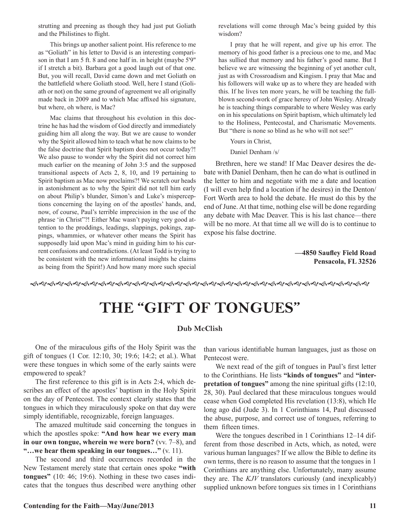strutting and preening as though they had just put Goliath and the Philistines to flight.

This brings up another salient point. His reference to me as "Goliath" in his letter to David is an interesting comparison in that I am 5 ft. 8 and one half in. in height (maybe 5'9" if I stretch a bit). Barbara got a good laugh out of that one. But, you will recall, David came down and met Goliath on the battlefield where Goliath stood. Well, here I stand (Goliath or not) on the same ground of agreement we all originally made back in 2009 and to which Mac affixed his signature, but where, oh where, is Mac?

Mac claims that throughout his evolution in this doctrine he has had the wisdom of God directly and immediately guiding him all along the way. But we are cause to wonder why the Spirit allowed him to teach what he now claims to be the false doctrine that Spirit baptism does not occur today?! We also pause to wonder why the Spirit did not correct him much earlier on the meaning of John 3:5 and the supposed transitional aspects of Acts 2, 8, 10, and 19 pertaining to Spirit baptism as Mac now proclaims?! We scratch our heads in astonishment as to why the Spirit did not tell him early on about Philip's blunder, Simon's and Luke's misperceptions concerning the laying on of the apostles' hands, and, now, of course, Paul's terrible imprecision in the use of the phrase 'in Christ"?! Either Mac wasn't paying very good attention to the proddings, leadings, slappings, pokings, zappings, whammies, or whatever other means the Spirit has supposedly laid upon Mac's mind in guiding him to his current confusions and contradictions. (At least Todd is trying to be consistent with the new informational insights he claims as being from the Spirit!) And how many more such special

revelations will come through Mac's being guided by this wisdom?

I pray that he will repent, and give up his error. The memory of his good father is a precious one to me, and Mac has sullied that memory and his father's good name. But I believe we are witnessing the beginning of yet another cult, just as with Crossroadism and Kingism. I pray that Mac and his followers will wake up as to where they are headed with this. If he lives ten more years, he will be teaching the fullblown second-work of grace heresy of John Wesley. Already he is teaching things comparable to where Wesley was early on in his speculations on Spirit baptism, which ultimately led to the Holiness, Pentecostal, and Charismatic Movements. But "there is none so blind as he who will not see!"

#### Yours in Christ,

Daniel Denham /s/

Brethren, here we stand! If Mac Deaver desires the debate with Daniel Denham, then he can do what is outlined in the letter to him and negotiate with me a date and location (I will even help find a location if he desires) in the Denton/ Fort Worth area to hold the debate. He must do this by the end of June. At that time, nothing else will be done regarding any debate with Mac Deaver. This is his last chance—there will be no more. At that time all we will do is to continue to expose his false doctrine.

> **—4850 Saufley Field Road Pensacola, FL 32526**

fgfgfgfgfgfgfgfgfgfgfgfgfgfgfgfgfgfgfgfg

## **THE "GIFT OF TONGUES"**

#### **Dub McClish**

One of the miraculous gifts of the Holy Spirit was the gift of tongues (1 Cor. 12:10, 30; 19:6; 14:2; et al.). What were these tongues in which some of the early saints were empowered to speak?

The first reference to this gift is in Acts 2:4, which describes an effect of the apostles' baptism in the Holy Spirit on the day of Pentecost. The context clearly states that the tongues in which they miraculously spoke on that day were simply identifiable, recognizable, foreign languages.

The amazed multitude said concerning the tongues in which the apostles spoke: **"And how hear we every man in our own tongue, wherein we were born?** (vv. 7–8), and **"…we hear them speaking in our tongues…"** (v. 11).

The second and third occurrences recorded in the New Testament merely state that certain ones spoke **"with tongues"** (10: 46; 19:6). Nothing in these two cases indicates that the tongues thus described were anything other

than various identifiable human languages, just as those on Pentecost were.

We next read of the gift of tongues in Paul's first letter to the Corinthians. He lists **"kinds of tongues"** and **"interpretation of tongues"** among the nine spiritual gifts (12:10, 28, 30). Paul declared that these miraculous tongues would cease when God completed His revelation (13:8), which He long ago did (Jude 3). In 1 Corinthians 14, Paul discussed the abuse, purpose, and correct use of tongues, referring to them fifteen times.

Were the tongues described in 1 Corinthians 12–14 different from those described in Acts, which, as noted, were various human languages? If we allow the Bible to define its own terms, there is no reason to assume that the tongues in 1 Corinthians are anything else. Unfortunately, many assume they are. The *KJV* translators curiously (and inexplicably) supplied unknown before tongues six times in 1 Corinthians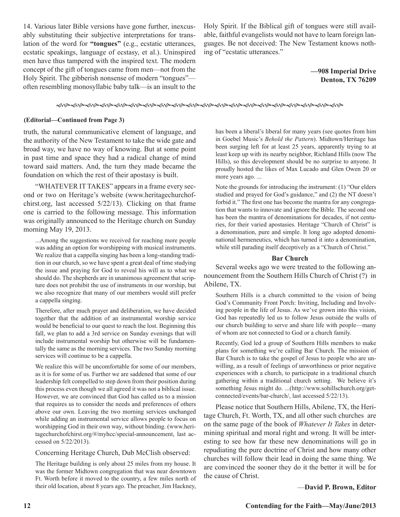14. Various later Bible versions have gone further, inexcusably substituting their subjective interpretations for translation of the word for **"tongues"** (e.g., ecstatic utterances, ecstatic speakings, language of ecstasy, et al.). Uninspired men have thus tampered with the inspired text. The modern concept of the gift of tongues came from men—not from the Holy Spirit. The gibberish nonsense of modern "tongues" often resembling monosyllabic baby talk—is an insult to the

Holy Spirit. If the Biblical gift of tongues were still available, faithful evangelists would not have to learn foreign languages. Be not deceived: The New Testament knows nothing of "ecstatic utterances."

> **—908 Imperial Drive Denton, TX 76209**

fhfhfhfhfhfhfhfhfhfhfhfhfhfhfhfhfhfhfhfh

#### **(Editorial—Continued from Page 3)**

truth, the natural communicative element of language, and the authority of the New Testament to take the wide gate and broad way, we have no way of knowing. But at some point in past time and space they had a radical change of mind toward said matters. And, the turn they made became the foundation on which the rest of their apostasy is built.

"WHATEVER IT TAKES" appears in a frame every second or two on Heritage's website (www.heritagechurchofchirst.org, last accessed 5/22/13). Clicking on that frame one is carried to the following message. This information was originally announced to the Heritage church on Sunday morning May 19, 2013.

...Among the suggestions we received for reaching more people was adding an option for worshipping with musical instruments. We realize that a cappella singing has been a long-standing tradition in our church, so we have spent a great deal of time studying the issue and praying for God to reveal his will as to what we should do. The shepherds are in unanimous agreement that scripture does not prohibit the use of instruments in our worship, but we also recognize that many of our members would still prefer a cappella singing.

Therefore, after much prayer and deliberation, we have decided together that the addition of an instrumental worship service would be beneficial to our quest to reach the lost. Beginning this fall, we plan to add a 3rd service on Sunday evenings that will include instrumental worship but otherwise will be fundamentally the same as the morning services. The two Sunday morning services will continue to be a cappella.

We realize this will be uncomfortable for some of our members, as it is for some of us. Further we are saddened that some of our leadership felt compelled to step down from their position during this process even though we all agreed it was not a biblical issue. However, we are convinced that God has called us to a mission that requires us to consider the needs and preferences of others above our own. Leaving the two morning services unchanged while adding an instrumental service allows people to focus on worshipping God in their own way, without binding. (www.heritagechurchofchirst.org/#/myhcc/special-announcement, last accessed on 5/22/2013).

#### Concerning Heritage Church, Dub McClish observed:

The Heritage building is only about 25 miles from my house. It was the former Midtown congregation that was near downtown Ft. Worth before it moved to the country, a few miles north of their old location, about 8 years ago. The preacher, Jim Hackney,

has been a liberal's liberal for many years (see quotes from him in Goebel Music's *Behold the Pattern*). Midtown/Heritage has been surging left for at least 25 years, apparently trying to at least keep up with its nearby neighbor, Richland Hills (now The Hills), so this development should be no surprise to anyone. It proudly hosted the likes of Max Lucado and Glen Owen 20 or more years ago. ...

Note the grounds for introducing the instrument: (1) "Our elders studied and prayed for God's guidance," and (2) the NT doesn't forbid it." The first one has become the mantra for any congregation that wants to innovate and ignore the Bible. The second one has been the mantra of denominations for decades, if not centuries, for their varied apostasies. Heritage "Church of Christ" is a denomination, pure and simple. It long ago adopted denominational hermeneutics, which has turned it into a denomination, while still parading itself deceptively as a "Church of Christ."

#### **Bar Church**

Several weeks ago we were treated to the following announcement from the Southern Hills Church of Christ (?) in Abilene, TX.

Southern Hills is a church committed to the vision of being God's Community Front Porch: Inviting, Including and Involving people in the life of Jesus. As we've grown into this vision, God has repeatedly led us to follow Jesus outside the walls of our church building to serve and share life with people—many of whom are not connected to God or a church family.

Recently, God led a group of Southern Hills members to make plans for something we're calling Bar Church. The mission of Bar Church is to take the gospel of Jesus to people who are unwilling, as a result of feelings of unworthiness or prior negative experiences with a church, to participate in a traditional church gathering within a traditional church setting. We believe it's something Jesus might do. ...(http://www.sohillschurch.org/getconnected/events/bar-church/, last accessed 5/22/13).

Please notice that Southern Hills, Abilene, TX, the Heritage Church, Ft. Worth, TX, and all other such churches are on the same page of the book of *Whatever It Takes* in determining spiritual and moral right and wrong. It will be interesting to see how far these new denominations will go in repudiating the pure doctrine of Christ and how many other churches will follow their lead in doing the same thing. We are convinced the sooner they do it the better it will be for the cause of Christ.

#### —**David P. Brown, Editor**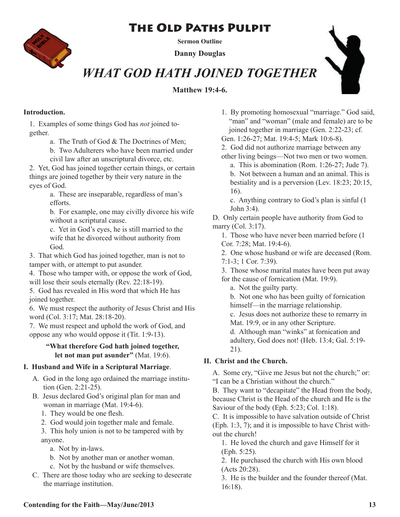## The Old Paths Pulpit



**Sermon Outline**

**Danny Douglas**

## *WHAT GOD HATH JOINED TOGETHER*

**Matthew 19:4-6.**



### **Introduction.**

1. Examples of some things God has *not* joined together.

- a. The Truth of God & The Doctrines of Men;
- b. Two Adulterers who have been married under civil law after an unscriptural divorce, etc.

2. Yet, God has joined together certain things, or certain things are joined together by their very nature in the eyes of God.

> a. These are inseparable, regardless of man's efforts.

b. For example, one may civilly divorce his wife without a scriptural cause.

c. Yet in God's eyes, he is still married to the wife that he divorced without authority from God.

3. That which God has joined together, man is not to tamper with, or attempt to put asunder.

4. Those who tamper with, or oppose the work of God, will lose their souls eternally (Rev. 22:18-19).

5. God has revealed in His word that which He has joined together.

6. We must respect the authority of Jesus Christ and His word (Col. 3:17; Mat. 28:18-20).

7. We must respect and uphold the work of God, and oppose any who would oppose it (Tit. 1:9-13).

### **"What therefore God hath joined together, let not man put asunder"** (Mat. 19:6).

### **I. Husband and Wife in a Scriptural Marriage**.

- A. God in the long ago ordained the marriage institu tion (Gen. 2:21-25).
- B. Jesus declared God's original plan for man and woman in marriage (Mat. 19:4-6).
	- 1. They would be one flesh.
	- 2. God would join together male and female.

3. This holy union is not to be tampered with by anyone.

- a. Not by in-laws.
- b. Not by another man or another woman.
- c. Not by the husband or wife themselves.
- C. There are those today who are seeking to desecrate the marriage institution.

1. By promoting homosexual "marriage." God said, "man" and "woman" (male and female) are to be joined together in marriage (Gen. 2:22-23; cf.

Gen. 1:26-27; Mat. 19:4-5; Mark 10:6-8).

2. God did not authorize marriage between any other living beings—Not two men or two women.

a. This is abomination (Rom. 1:26-27; Jude 7). b. Not between a human and an animal. This is bestiality and is a perversion (Lev. 18:23; 20:15, 16).

c. Anything contrary to God's plan is sinful (1 John 3:4).

D. Only certain people have authority from God to marry (Col. 3:17).

1. Those who have never been married before (1 Cor. 7:28; Mat. 19:4-6).

2. One whose husband or wife are deceased (Rom. 7:1-3; 1 Cor. 7:39).

3. Those whose marital mates have been put away

for the cause of fornication (Mat. 19:9).

a. Not the guilty party.

b. Not one who has been guilty of fornication himself—in the marriage relationship.

c. Jesus does not authorize these to remarry in Mat. 19:9, or in any other Scripture.

d. Although man "winks" at fornication and adultery, God does not! (Heb. 13:4; Gal. 5:19- 21).

## **II. Christ and the Church.**

A. Some cry, "Give me Jesus but not the church;" or: "I can be a Christian without the church."

B. They want to "decapitate" the Head from the body, because Christ is the Head of the church and He is the Saviour of the body (Eph. 5:23; Col. 1:18).

C. It is impossible to have salvation outside of Christ (Eph. 1:3, 7); and it is impossible to have Christ without the church!

1. He loved the church and gave Himself for it (Eph. 5:25).

2. He purchased the church with His own blood (Acts 20:28).

3. He is the builder and the founder thereof (Mat. 16:18).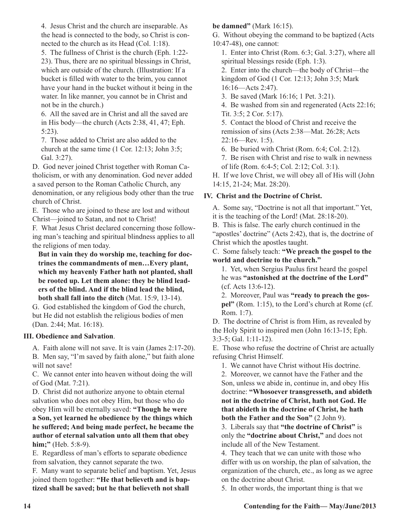4. Jesus Christ and the church are inseparable. As the head is connected to the body, so Christ is connected to the church as its Head (Col. 1:18).

5. The fullness of Christ is the church (Eph. 1:22- 23). Thus, there are no spiritual blessings in Christ, which are outside of the church. (Illustration: If a bucket is filled with water to the brim, you cannot have your hand in the bucket without it being in the water. In like manner, you cannot be in Christ and not be in the church.)

6. All the saved are in Christ and all the saved are in His body—the church (Acts 2:38, 41, 47; Eph. 5:23).

7. Those added to Christ are also added to the church at the same time (1 Cor. 12:13; John 3:5; Gal. 3:27).

D. God never joined Christ together with Roman Catholicism, or with any denomination. God never added a saved person to the Roman Catholic Church, any denomination, or any religious body other than the true church of Christ.

E. Those who are joined to these are lost and without Christ—joined to Satan, and not to Christ!

F. What Jesus Christ declared concerning those following man's teaching and spiritual blindness applies to all the religions of men today.

**But in vain they do worship me, teaching for doctrines the commandments of men…Every plant, which my heavenly Father hath not planted, shall be rooted up. Let them alone: they be blind leaders of the blind. And if the blind lead the blind, both shall fall into the ditch** (Mat. 15:9, 13-14).

G. God established the kingdom of God the church, but He did not establish the religious bodies of men (Dan. 2:44; Mat. 16:18).

### **III. Obedience and Salvation**.

A. Faith alone will not save. It is vain (James 2:17-20). B. Men say, "I'm saved by faith alone," but faith alone will not save!

C. We cannot enter into heaven without doing the will of God (Mat. 7:21).

D. Christ did not authorize anyone to obtain eternal salvation who does not obey Him, but those who do obey Him will be eternally saved: **"Though he were a Son, yet learned he obedience by the things which he suffered; And being made perfect, he became the author of eternal salvation unto all them that obey him;"** (Heb. 5:8-9).

E. Regardless of man's efforts to separate obedience from salvation, they cannot separate the two.

F. Many want to separate belief and baptism. Yet, Jesus joined them together: **"He that believeth and is baptized shall be saved; but he that believeth not shall** 

### **be damned"** (Mark 16:15).

G. Without obeying the command to be baptized (Acts 10:47-48), one cannot:

1. Enter into Christ (Rom. 6:3; Gal. 3:27), where all spiritual blessings reside (Eph. 1:3).

2. Enter into the church—the body of Christ—the kingdom of God (1 Cor. 12:13; John 3:5; Mark 16:16—Acts 2:47).

3. Be saved (Mark 16:16; 1 Pet. 3:21).

4. Be washed from sin and regenerated (Acts 22:16; Tit. 3:5; 2 Cor. 5:17).

5. Contact the blood of Christ and receive the remission of sins (Acts 2:38—Mat. 26:28; Acts 22:16—Rev. 1:5).

6. Be buried with Christ (Rom. 6:4; Col. 2:12).

7. Be risen with Christ and rise to walk in newness of life (Rom. 6:4-5; Col. 2:12; Col. 3:1).

H. If we love Christ, we will obey all of His will (John 14:15, 21-24; Mat. 28:20).

### **IV. Christ and the Doctrine of Christ.**

A. Some say, "Doctrine is not all that important." Yet, it is the teaching of the Lord! (Mat. 28:18-20).

B. This is false. The early church continued in the "apostles' doctrine" (Acts 2:42), that is, the doctrine of Christ which the apostles taught.

C. Some falsely teach: **"We preach the gospel to the world and doctrine to the church."**

1. Yet, when Sergius Paulus first heard the gospel he was **"astonished at the doctrine of the Lord"** (cf. Acts 13:6-12).

2. Moreover, Paul was **"ready to preach the gospel"** (Rom. 1:15), to the Lord's church at Rome (cf. Rom. 1:7).

D. The doctrine of Christ is from Him, as revealed by the Holy Spirit to inspired men (John 16:13-15; Eph. 3:3-5; Gal. 1:11-12).

E. Those who refuse the doctrine of Christ are actually refusing Christ Himself.

1. We cannot have Christ without His doctrine.

2. Moreover, we cannot have the Father and the Son, unless we abide in, continue in, and obey His doctrine: **"Whosoever transgresseth, and abideth not in the doctrine of Christ, hath not God. He that abideth in the doctrine of Christ, he hath both the Father and the Son"** (2 John 9).

3. Liberals say that **"the doctrine of Christ"** is only the **"doctrine about Christ,"** and does not include all of the New Testament.

4. They teach that we can unite with those who differ with us on worship, the plan of salvation, the organization of the church, etc., as long as we agree on the doctrine about Christ.

5. In other words, the important thing is that we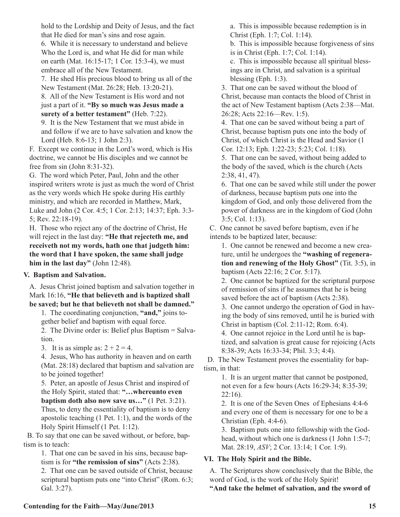hold to the Lordship and Deity of Jesus, and the fact that He died for man's sins and rose again.

6. While it is necessary to understand and believe Who the Lord is, and what He did for man while on earth (Mat. 16:15-17; 1 Cor. 15:3-4), we must embrace all of the New Testament.

7. He shed His precious blood to bring us all of the New Testament (Mat. 26:28; Heb. 13:20-21).

8. All of the New Testament is His word and not just a part of it. **"By so much was Jesus made a surety of a better testament"** (Heb. 7:22).

9. It is the New Testament that we must abide in and follow if we are to have salvation and know the Lord (Heb. 8:6-13; 1 John 2:3).

F. Except we continue in the Lord's word, which is His doctrine, we cannot be His disciples and we cannot be free from sin (John 8:31-32).

G. The word which Peter, Paul, John and the other inspired writers wrote is just as much the word of Christ as the very words which He spoke during His earthly ministry, and which are recorded in Matthew, Mark, Luke and John (2 Cor. 4:5; 1 Cor. 2:13; 14:37; Eph. 3:3- 5; Rev. 22:18-19).

H. Those who reject any of the doctrine of Christ, He will reject in the last day: **"He that rejecteth me, and receiveth not my words, hath one that judgeth him: the word that I have spoken, the same shall judge him in the last day"** (John 12:48).

### **V. Baptism and Salvation.**

A. Jesus Christ joined baptism and salvation together in Mark 16:16, **"He that believeth and is baptized shall be saved; but he that believeth not shall be damned."**

1. The coordinating conjunction, **"and,"** joins together belief and baptism with equal force.

2. The Divine order is: Belief plus Baptism = Salvation.

3. It is as simple as:  $2 + 2 = 4$ .

4. Jesus, Who has authority in heaven and on earth (Mat. 28:18) declared that baptism and salvation are to be joined together!

5. Peter, an apostle of Jesus Christ and inspired of the Holy Spirit, stated that: **"…whereunto even baptism doth also now save us…"** (1 Pet. 3:21).

Thus, to deny the essentiality of baptism is to deny apostolic teaching (1 Pet. 1:1), and the words of the Holy Spirit Himself (1 Pet. 1:12).

 B. To say that one can be saved without, or before, baptism is to teach:

> 1. That one can be saved in his sins, because baptism is for **"the remission of sins"** (Acts 2:38).

2. That one can be saved outside of Christ, because scriptural baptism puts one "into Christ" (Rom. 6:3; Gal. 3:27).

a. This is impossible because redemption is in Christ (Eph. 1:7; Col. 1:14).

b. This is impossible because forgiveness of sins is in Christ (Eph. 1:7; Col. 1:14).

c. This is impossible because all spiritual blessings are in Christ, and salvation is a spiritual blessing (Eph. 1:3).

3. That one can be saved without the blood of Christ, because man contacts the blood of Christ in the act of New Testament baptism (Acts 2:38—Mat. 26:28; Acts 22:16—Rev. 1:5).

4. That one can be saved without being a part of Christ, because baptism puts one into the body of Christ, of which Christ is the Head and Savior (1 Cor. 12:13; Eph. 1:22-23; 5:23; Col. 1:18).

5. That one can be saved, without being added to the body of the saved, which is the church (Acts 2:38, 41, 47).

6. That one can be saved while still under the power of darkness, because baptism puts one into the kingdom of God, and only those delivered from the power of darkness are in the kingdom of God (John 3:5; Col. 1:13).

C. One cannot be saved before baptism, even if he intends to be baptized later, because:

1. One cannot be renewed and become a new creature, until he undergoes the **"washing of regeneration and renewing of the Holy Ghost"** (Tit. 3:5), in baptism (Acts 22:16; 2 Cor. 5:17).

2. One cannot be baptized for the scriptural purpose of remission of sins if he assumes that he is being saved before the act of baptism (Acts 2:38).

3. One cannot undergo the operation of God in having the body of sins removed, until he is buried with Christ in baptism (Col. 2:11-12; Rom. 6:4).

4. One cannot rejoice in the Lord until he is baptized, and salvation is great cause for rejoicing (Acts 8:38-39; Acts 16:33-34; Phil. 3:3; 4:4).

 D. The New Testament proves the essentiality for baptism, in that:

1. It is an urgent matter that cannot be postponed, not even for a few hours (Acts 16:29-34; 8:35-39;  $22:16$ ).

2. It is one of the Seven Ones of Ephesians 4:4-6 and every one of them is necessary for one to be a Christian (Eph. 4:4-6).

3. Baptism puts one into fellowship with the Godhead, without which one is darkness (1 John 1:5-7; Mat. 28:19, *ASV*; 2 Cor. 13:14; 1 Cor. 1:9).

### **VI. The Holy Spirit and the Bible.**

A. The Scriptures show conclusively that the Bible, the word of God, is the work of the Holy Spirit!

**"And take the helmet of salvation, and the sword of**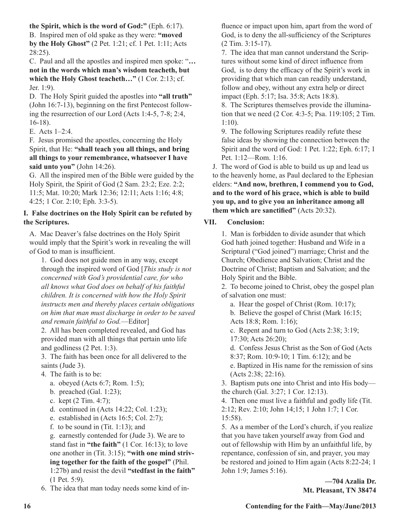**the Spirit, which is the word of God:"** (Eph. 6:17). B. Inspired men of old spake as they were: **"moved by the Holy Ghost"** (2 Pet. 1:21; cf. 1 Pet. 1:11; Acts 28:25).

C. Paul and all the apostles and inspired men spoke: "**… not in the words which man's wisdom teacheth, but which the Holy Ghost teacheth…"** (1 Cor. 2:13; cf. Jer. 1:9).

D. The Holy Spirit guided the apostles into **"all truth"** (John 16:7-13), beginning on the first Pentecost following the resurrection of our Lord (Acts 1:4-5, 7-8; 2:4, 16-18).

E. Acts 1–2:4.

F. Jesus promised the apostles, concerning the Holy Spirit, that He: **"shall teach you all things, and bring all things to your remembrance, whatsoever I have said unto you"** (John 14:26).

G. All the inspired men of the Bible were guided by the Holy Spirit, the Spirit of God (2 Sam. 23:2; Eze. 2:2; 11:5; Mat. 10:20; Mark 12:36; 12:11; Acts 1:16; 4:8; 4:25; 1 Cor. 2:10; Eph. 3:3-5).

### **I. False doctrines on the Holy Spirit can be refuted by the Scriptures.**

A. Mac Deaver's false doctrines on the Holy Spirit would imply that the Spirit's work in revealing the will of God to man is insufficient.

1. God does not guide men in any way, except through the inspired word of God [*This study is not concerned with God's providential care, for who all knows what God does on behalf of his faithful children. It is concerned with how the Holy Spirit instructs men and thereby places certain obligations on him that man must discharge in order to be saved and remain faithful to God.*—Editor]

2. All has been completed revealed, and God has provided man with all things that pertain unto life and godliness (2 Pet. 1:3).

3. The faith has been once for all delivered to the saints (Jude 3).

- 4. The faith is to be:
	- a. obeyed (Acts 6:7; Rom. 1:5);
	- b. preached (Gal. 1:23);
	- c. kept (2 Tim. 4:7);
	- d. continued in (Acts 14:22; Col. 1:23);
	- e. established in (Acts 16:5; Col. 2:7);
	- f. to be sound in  $(Tit. 1:13)$ ; and
	- g. earnestly contended for (Jude 3). We are to stand fast in **"the faith"** (1 Cor. 16:13); to love one another in (Tit. 3:15); **"with one mind striving together for the faith of the gospel"** (Phil. 1:27b) and resist the devil **"stedfast in the faith"** (1 Pet. 5:9).

6. The idea that man today needs some kind of in-

fluence or impact upon him, apart from the word of God, is to deny the all-sufficiency of the Scriptures (2 Tim. 3:15-17).

7. The idea that man cannot understand the Scriptures without some kind of direct influence from God, is to deny the efficacy of the Spirit's work in providing that which man can readily understand, follow and obey, without any extra help or direct impact (Eph. 5:17; Isa. 35:8; Acts 18:8).

8. The Scriptures themselves provide the illumination that we need (2 Cor. 4:3-5; Psa. 119:105; 2 Tim. 1:10).

9. The following Scriptures readily refute these false ideas by showing the connection between the Spirit and the word of God: 1 Pet. 1:22; Eph. 6:17; 1 Pet. 1:12—Rom. 1:16.

J. The word of God is able to build us up and lead us to the heavenly home, as Paul declared to the Ephesian elders: **"And now, brethren, I commend you to God, and to the word of his grace, which is able to build you up, and to give you an inheritance among all them which are sanctified"** (Acts 20:32).

## **VII. Conclusion:**

1. Man is forbidden to divide asunder that which God hath joined together: Husband and Wife in a Scriptural ("God joined") marriage; Christ and the Church; Obedience and Salvation; Christ and the Doctrine of Christ; Baptism and Salvation; and the Holy Spirit and the Bible.

2. To become joined to Christ, obey the gospel plan of salvation one must:

a. Hear the gospel of Christ (Rom. 10:17);

b. Believe the gospel of Christ (Mark 16:15; Acts 18:8; Rom. 1:16);

c. Repent and turn to God (Acts 2:38; 3:19; 17:30; Acts 26:20);

d. Confess Jesus Christ as the Son of God (Acts 8:37; Rom. 10:9-10; 1 Tim. 6:12); and be

e. Baptized in His name for the remission of sins (Acts 2:38; 22:16).

3. Baptism puts one into Christ and into His body the church (Gal. 3:27; 1 Cor. 12:13).

4. Then one must live a faithful and godly life (Tit. 2:12; Rev. 2:10; John 14;15; 1 John 1:7; 1 Cor. 15:58).

5. As a member of the Lord's church, if you realize that you have taken yourself away from God and out of fellowship with Him by an unfaithful life, by repentance, confession of sin, and prayer, you may be restored and joined to Him again (Acts 8:22-24; 1 John 1:9; James 5:16).

> **—704 Azalia Dr. Mt. Pleasant, TN 38474**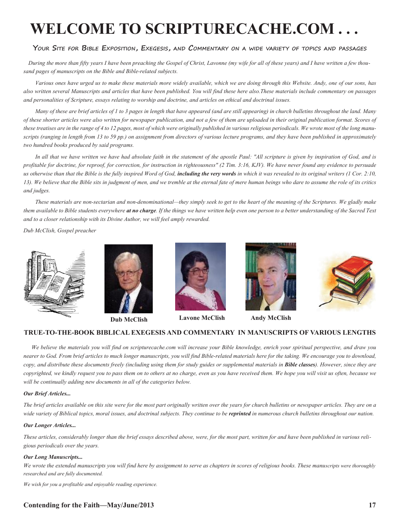# **WELCOME TO SCRIPTURECACHE.COM . . .**

#### **Your Site for Bible Exposition, Exegesis, and Commentary on a wide variety of topics and passages**

 *During the more than fifty years I have been preaching the Gospel of Christ, Lavonne (my wife for all of these years) and I have written a few thousand pages of manuscripts on the Bible and Bible-related subjects.* 

*Various ones have urged us to make these materials more widely available, which we are doing through this Website. Andy, one of our sons, has also written several Manuscripts and articles that have been published. You will find these here also.These materials include commentary on passages and personalities of Scripture, essays relating to worship and doctrine, and articles on ethical and doctrinal issues.* 

*Many of these are brief articles of 1 to 3 pages in length that have appeared (and are still appearing) in church bulletins throughout the land. Many of these shorter articles were also written for newspaper publication, and not a few of them are uploaded in their original publication format. Scores of these treatises are in the range of 4 to 12 pages, most of which were originally published in various religious periodicals. We wrote most of the long manuscripts (ranging in length from 13 to 59 pp.) on assignment from directors of various lecture programs, and they have been published in approximately two hundred books produced by said programs.*

In all that we have written we have had absolute faith in the statement of the apostle Paul: "All scripture is given by inspiration of God, and is *profitable for doctrine, for reproof, for correction, for instruction in righteousness" (2 Tim. 3:16, KJV). We have never found any evidence to persuade*  us otherwise than that the Bible is the fully inspired Word of God, **including the very words** in which it was revealed to its original writers (1 Cor. 2:10, *13). We believe that the Bible sits in judgment of men, and we tremble at the eternal fate of mere human beings who dare to assume the role of its critics and judges.*

*These materials are non-sectarian and non-denominational—they simply seek to get to the heart of the meaning of the Scriptures. We gladly make them available to Bible students everywhere at no charge. If the things we have written help even one person to a better understanding of the Sacred Text and to a closer relationship with its Divine Author, we will feel amply rewarded.*

*Dub McClish, Gospel preacher*







**Dub McClish Lavone McClish**





**Andy McClish**

#### **TRUE-TO-THE-BOOK BIBLICAL EXEGESIS AND COMMENTARY IN MANUSCRIPTS OF VARIOUS LENGTHS**

 *We believe the materials you will find on scripturecache.com will increase your Bible knowledge, enrich your spiritual perspective, and draw you nearer to God. From brief articles to much longer manuscripts, you will find Bible-related materials here for the taking. We encourage you to download, copy, and distribute these documents freely (including using them for study guides or supplemental materials in Bible classes). However, since they are copyrighted, we kindly request you to pass them on to others at no charge, even as you have received them. We hope you will visit us often, because we will be continually adding new documents in all of the categories below.* 

#### *Our Brief Articles...*

*The brief articles available on this site were for the most part originally written over the years for church bulletins or newspaper articles. They are on a*  wide variety of Biblical topics, moral issues, and doctrinal subjects. They continue to be **reprinted** in numerous church bulletins throughout our nation.

#### *Our Longer Articles...*

*These articles, considerably longer than the brief essays described above, were, for the most part, written for and have been published in various religious periodicals over the years.*

#### *Our Long Manuscripts...*

*We wrote the extended manuscripts you will find here by assignment to serve as chapters in scores of religious books. These manuscripts were thoroughly researched and are fully documented.*

*We wish for you a profitable and enjoyable reading experience.*

#### **Contending for the Faith—May/June/2013** 17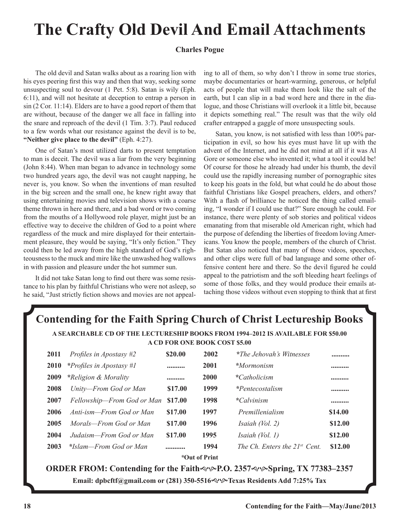# **The Crafty Old Devil And Email Attachments**

#### **Charles Pogue**

The old devil and Satan walks about as a roaring lion with his eyes peering first this way and then that way, seeking some unsuspecting soul to devour (1 Pet. 5:8). Satan is wily (Eph. 6:11), and will not hesitate at deception to entrap a person in sin (2 Cor. 11:14). Elders are to have a good report of them that are without, because of the danger we all face in falling into the snare and reproach of the devil (1 Tim. 3:7). Paul reduced to a few words what our resistance against the devil is to be, **"Neither give place to the devil"** (Eph. 4:27).

One of Satan's most utilized darts to present temptation to man is deceit. The devil was a liar from the very beginning (John 8:44). When man began to advance in technology some two hundred years ago, the devil was not caught napping, he never is, you know. So when the inventions of man resulted in the big screen and the small one, he knew right away that using entertaining movies and television shows with a coarse theme thrown in here and there, and a bad word or two coming from the mouths of a Hollywood role player, might just be an effective way to deceive the children of God to a point where regardless of the muck and mire displayed for their entertainment pleasure, they would be saying, "It's only fiction." They could then be led away from the high standard of God's righteousness to the muck and mire like the unwashed hog wallows in with passion and pleasure under the hot summer sun.

It did not take Satan long to find out there was some resistance to his plan by faithful Christians who were not asleep, so he said, "Just strictly fiction shows and movies are not appeal-

ing to all of them, so why don't I throw in some true stories, maybe documentaries or heart-warming, generous, or helpful acts of people that will make them look like the salt of the earth, but I can slip in a bad word here and there in the dialogue, and those Christians will overlook it a little bit, because it depicts something real." The result was that the wily old crafter entrapped a gaggle of more unsuspecting souls.

Satan, you know, is not satisfied with less than 100% participation in evil, so how his eyes must have lit up with the advent of the Internet, and he did not mind at all if it was Al Gore or someone else who invented it; what a tool it could be! Of course for those he already had under his thumb, the devil could use the rapidly increasing number of pornographic sites to keep his goats in the fold, but what could he do about those faithful Christians like Gospel preachers, elders, and others? With a flash of brilliance he noticed the thing called emailing, "I wonder if I could use that?" Sure enough he could. For instance, there were plenty of sob stories and political videos emanating from that miserable old American right, which had the purpose of defending the liberties of freedom loving Americans. You know the people, members of the church of Christ. But Satan also noticed that many of those videos, speeches, and other clips were full of bad language and some other offensive content here and there. So the devil figured he could appeal to the patriotism and the soft bleeding heart feelings of some of those folks, and they would produce their emails attaching those videos without even stopping to think that at first

## **Contending for the Faith Spring Church of Christ Lectureship Books**

**A SEARCHABLE CD OF THE LECTURESHIP BOOKS FROM 1994–2012 IS AVAILABLE FOR \$50.00 A CD FOR ONE BOOK COST \$5.00**

| 2011          | Profiles in Apostasy $#2$  | \$20.00 | 2002        | *The Jehovah's Witnesses           |         |  |
|---------------|----------------------------|---------|-------------|------------------------------------|---------|--|
| <b>2010</b>   | *Profiles in Apostasy #1   |         | 2001        | *Mormonism                         |         |  |
| 2009          | *Religion & Morality       |         | <b>2000</b> | $*Catholicism$                     |         |  |
| 2008          | Unity-From God or Man      | \$17.00 | 1999        | *Pentecostalism                    |         |  |
| 2007          | Fellowship-From God or Man | \$17.00 | 1998        | *Calvinism                         |         |  |
| 2006          | Anti-ism—From God or Man   | \$17.00 | 1997        | Premillenialism                    | \$14.00 |  |
| 2005          | Morals—From God or Man     | \$17.00 | 1996        | Isaiah (Vol. 2)                    | \$12.00 |  |
| 2004          | Judaism—From God or Man    | \$17.00 | 1995        | Isaiah (Vol. 1)                    | \$12.00 |  |
| 2003          | *Islam—From God or Man     |         | 1994        | The Ch. Enters the $21^{st}$ Cent. | \$12.00 |  |
| *Out of Print |                            |         |             |                                    |         |  |

**ORDER FROM: Contending for the Faithev P.O. 2357 evg Spring, TX 77383–2357 Email: dpbcftf@gmail.com or (281) 350-5516**gh**Texas Residents Add 7:25% Tax**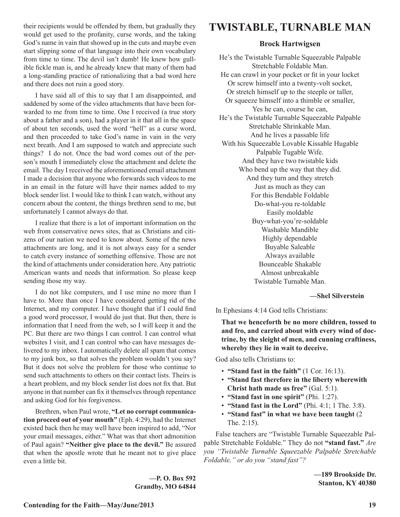their recipients would be offended by them, but gradually they would get used to the profanity, curse words, and the taking God's name in vain that showed up in the cuts and maybe even start slipping some of that language into their own vocabulary from time to time. The devil isn't dumb! He knew how gullible fickle man is, and he already knew that many of them had a long-standing practice of rationalizing that a bad word here and there does not ruin a good story.

I have said all of this to say that I am disappointed, and saddened by some of the video attachments that have been forwarded to me from time to time. One I received (a true story about a father and a son), had a player in it that all in the space of about ten seconds, used the word "hell" as a curse word, and then proceeded to take God's name in vain in the very next breath. And I am supposed to watch and appreciate such things? I do not. Once the bad word comes out of the person's mouth I immediately close the attachment and delete the email. The day I received the aforementioned email attachment I made a decision that anyone who forwards such videos to me in an email in the future will have their names added to my block sender list. I would like to think I can watch, without any concern about the content, the things brethren send to me, but unfortunately I cannot always do that.

I realize that there is a lot of important information on the web from conservative news sites, that as Christians and citizens of our nation we need to know about. Some of the news attachments are long, and it is not always easy for a sender to catch every instance of something offensive. Those are not the kind of attachments under consideration here. Any patriotic American wants and needs that information. So please keep sending those my way.

I do not like computers, and I use mine no more than I have to. More than once I have considered getting rid of the Internet, and my computer. I have thought that if I could find a good word processor, I would do just that. But then, there is information that I need from the web, so I will keep it and the PC. But there are two things I can control. I can control what websites I visit, and I can control who can have messages delivered to my inbox. I automatically delete all spam that comes to my junk box, so that solves the problem wouldn't you say? But it does not solve the problem for those who continue to send such attachments to others on their contact lists. Theirs is a heart problem, and my block sender list does not fix that. But anyone in that number can fix it themselves through repentance and asking God for his forgiveness.

Brethren, when Paul wrote, **"Let no corrupt communication proceed out of your mouth"** (Eph. 4:29), had the Internet existed back then he may well have been inspired to add, "Nor your email messages, either." What was that short admonition of Paul again? **"Neither give place to the devil."** Be assured that when the apostle wrote that he meant not to give place even a little bit.

## **TWISTABLE, TURNABLE MAN**

#### **Brock Hartwigsen**

He's the Twistable Turnable Squeezable Palpable Stretchable Foldable Man. He can crawl in your pocket or fit in your locket Or screw himself into a twenty-volt socket, Or stretch himself up to the steeple or taller, Or squeeze himself into a thimble or smaller, Yes he can, course he can, He's the Twistable Turnable Squeezable Palpable Stretchable Shrinkable Man. And he lives a passable life With his Squeezable Lovable Kissable Hugable Palpable Tugable Wife. And they have two twistable kids Who bend up the way that they did. And they turn and they stretch Just as much as they can For this Bendable Foldable Do-what-you re-toldable Easily moldable Buy-what-you're-soldable Washable Mandible Highly dependable Buyable Saleable Always available Bounceable Shakable Almost unbreakable

Twistable Turnable Man.

 **—Shel Silverstein**

In Ephesians 4:14 God tells Christians:

**That we henceforth be no more children, tossed to and fro, and carried about with every wind of doctrine, by the sleight of men, and cunning craftiness, whereby they lie in wait to deceive.**

God also tells Christians to:

- **"Stand fast in the faith"** (1 Cor. 16:13).
- **"Stand fast therefore in the liberty wherewith Christ hath made us free"** (Gal. 5:1).
- **"Stand fast in one spirit"** (Phi. 1:27).
- **"Stand fast in the Lord"** (Phi. 4:1; 1 The. 3:8).
- **"Stand fast" in what we have been taught** (2 The. 2:15).

False teachers are "Twistable Turnable Squeezable Palpable Stretchable Foldable." They do not **"stand fast."** *Are you "Twistable Turnable Squeezable Palpable Stretchable Foldable," or do you "stand fast"?* 

> **—189 Brookside Dr. Stanton, KY 40380**

**—P. O. Box 592 Grandby, MO 64844**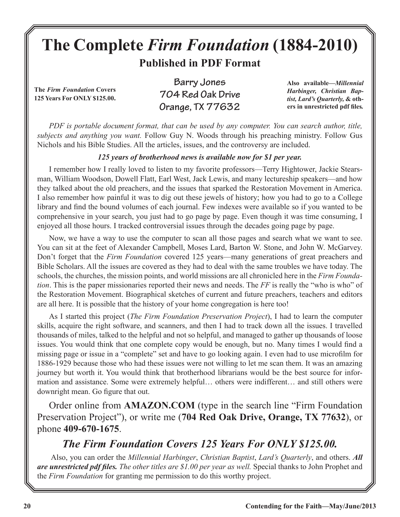## **The Complete** *Firm Foundation* **(1884-2010) Published in PDF Format**

**The** *Firm Foundation* **Covers 125 Years For ONLY \$125.00.**

**Barry Jones 704 Red Oak Drive Orange, TX 77632**

**Also available***—Millennial Harbinger, Christian Baptist, Lard's Quarterly,* **& others in unrestricted pdf files***.*

*PDF is portable document format, that can be used by any computer. You can search author, title, subjects and anything you want.* Follow Guy N. Woods through his preaching ministry. Follow Gus Nichols and his Bible Studies. All the articles, issues, and the controversy are included.

## *125 years of brotherhood news is available now for \$1 per year.*

I remember how I really loved to listen to my favorite professors—Terry Hightower, Jackie Stearsman, William Woodson, Dowell Flatt, Earl West, Jack Lewis, and many lectureship speakers—and how they talked about the old preachers, and the issues that sparked the Restoration Movement in America. I also remember how painful it was to dig out these jewels of history; how you had to go to a College library and find the bound volumes of each journal. Few indexes were available so if you wanted to be comprehensive in your search, you just had to go page by page. Even though it was time consuming, I enjoyed all those hours. I tracked controversial issues through the decades going page by page.

Now, we have a way to use the computer to scan all those pages and search what we want to see. You can sit at the feet of Alexander Campbell, Moses Lard, Barton W. Stone, and John W. McGarvey. Don't forget that the *Firm Foundation* covered 125 years—many generations of great preachers and Bible Scholars. All the issues are covered as they had to deal with the same troubles we have today. The schools, the churches, the mission points, and world missions are all chronicled here in the *Firm Foundation*. This is the paper missionaries reported their news and needs. The *FF* is really the "who is who" of the Restoration Movement. Biographical sketches of current and future preachers, teachers and editors are all here. It is possible that the history of your home congregation is here too!

As I started this project (*The Firm Foundation Preservation Project*), I had to learn the computer skills, acquire the right software, and scanners, and then I had to track down all the issues. I travelled thousands of miles, talked to the helpful and not so helpful, and managed to gather up thousands of loose issues. You would think that one complete copy would be enough, but no. Many times I would find a missing page or issue in a "complete" set and have to go looking again. I even had to use microfilm for 1886-1929 because those who had these issues were not willing to let me scan them. It was an amazing journey but worth it. You would think that brotherhood librarians would be the best source for information and assistance. Some were extremely helpful… others were indifferent… and still others were downright mean. Go figure that out.

Order online from **AMAZON.COM** (type in the search line "Firm Foundation Preservation Project"), or write me (**704 Red Oak Drive, Orange, TX 77632**), or phone **409-670-1675**.

## *The Firm Foundation Covers 125 Years For ONLY \$125.00.*

 Also, you can order the *Millennial Harbinger*, *Christian Baptist*, *Lard's Quarterly*, and others. *All are unrestricted pdf files. The other titles are \$1.00 per year as well.* Special thanks to John Prophet and the *Firm Foundation* for granting me permission to do this worthy project.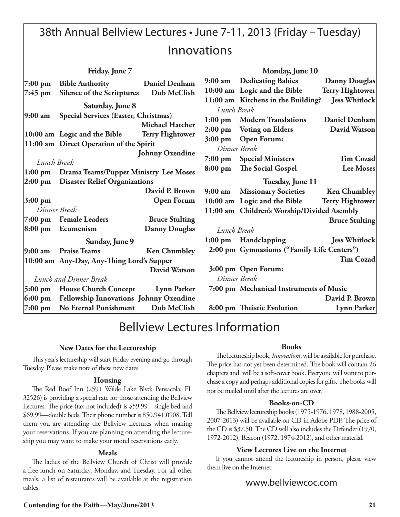## 38th Annual Bellview Lectures • June 7-11, 2013 (Friday – Tuesday) Innovations

| Friday, June 7                                                                         |                                                |                        | Monday, June 10   |                                              |                        |
|----------------------------------------------------------------------------------------|------------------------------------------------|------------------------|-------------------|----------------------------------------------|------------------------|
|                                                                                        | 7:00 pm Bible Authority Daniel Denham          |                        | $9:00 \text{ am}$ | <b>Dedicating Babies</b>                     | <b>Danny Douglas</b>   |
| 7:45 pm                                                                                | Silence of the Scritptures Dub McClish         |                        |                   | 10:00 am Logic and the Bible                 | <b>Terry Hightower</b> |
|                                                                                        | Saturday, June 8                               |                        | Lunch Break       | 11:00 am Kitchens in the Building?           | <b>Jess Whitlock</b>   |
| $9:00 \text{ am}$                                                                      | Special Services (Easter, Christmas)           | <b>Michael Hatcher</b> |                   | 1:00 pm Modern Translations                  | <b>Daniel Denham</b>   |
|                                                                                        | $ 10:00$ am Logic and the Bible                | <b>Terry Hightower</b> |                   | 2:00 pm Voting on Elders                     | David Watson           |
|                                                                                        | 11:00 am Direct Operation of the Spirit        |                        |                   | 3:00 pm Open Forum:                          |                        |
|                                                                                        |                                                | <b>Johnny Oxendine</b> |                   | Dinner Break                                 |                        |
| Lunch Break                                                                            |                                                |                        |                   | 7:00 pm Special Ministers                    | <b>Tim Cozad</b>       |
|                                                                                        |                                                |                        | $8:00 \text{ pm}$ | The Social Gospel                            | <b>Lee Moses</b>       |
| 1:00 pm Drama Teams/Puppet Ministry Lee Moses<br>2:00 pm Disaster Relief Organizations |                                                | Tuesday, June 11       |                   |                                              |                        |
|                                                                                        |                                                | David P. Brown         | $9:00 \text{ am}$ | <b>Missionary Societies</b>                  | <b>Ken Chumbley</b>    |
| $3:00 \text{ pm}$                                                                      |                                                | <b>Open Forum</b>      |                   | 10:00 am Logic and the Bible Terry Hightower |                        |
| Dinner Break                                                                           |                                                |                        |                   | 11:00 am Children's Worship/Divided Asembly  |                        |
|                                                                                        | 7:00 pm Female Leaders                         | <b>Bruce Stulting</b>  |                   |                                              | <b>Bruce Stulting</b>  |
|                                                                                        | $8:00 \text{ pm}$ Ecumenism                    | <b>Danny Douglas</b>   | Lunch Break       |                                              |                        |
|                                                                                        | Sunday, June 9                                 |                        |                   | 1:00 pm Handclapping                         | <b>Jess Whitlock</b>   |
| $9:00 \text{ am}$                                                                      | <b>Praise Teams</b>                            | <b>Ken Chumbley</b>    |                   | 2:00 pm Gymnasiums ("Family Life Centers")   |                        |
|                                                                                        | 10:00 am Any-Day, Any-Thing Lord's Supper      |                        |                   |                                              | <b>Tim Cozad</b>       |
|                                                                                        |                                                | David Watson           |                   | 3:00 pm Open Forum:                          |                        |
|                                                                                        | Lunch and Dinner Break                         |                        |                   | Dinner Break                                 |                        |
|                                                                                        | 5:00 pm House Church Concept Lynn Parker       |                        |                   | 7:00 pm Mechanical Instruments of Music      |                        |
|                                                                                        | 6:00 pm Fellowship Innovations Johnny Oxendine |                        |                   |                                              | David P. Brown         |
|                                                                                        | 7:00 pm No Eternal Punishment Dub McClish      |                        |                   | 8:00 pm Theistic Evolution                   | <b>Lynn Parker</b>     |

## Bellview Lectures Information

#### **New Dates for the Lectureship**

This year's lectureship will start Friday evening and go through Tuesday. Please make note of these new dates.

#### **Housing**

The Red Roof Inn (2591 Wilde Lake Blvd; Pensacola, FL 32526) is providing a special rate for those attending the Bellview Lectures. The price (tax not included) is \$59.99—single bed and \$69.99—double beds. Their phone number is 850.941.0908. Tell them you are attending the Bellview Lectures when making your reservations. If you are planning on attending the lectureship you may want to make your motel reservations early.

#### **Meals**

The ladies of the Bellview Church of Christ will provide a free lunch on Saturday, Monday, and Tuesday. For all other meals, a list of restaurants will be available at the registration tables.

#### **Books**

The lectureship book, *Innovations*, will be available for purchase. The price has not yet been determined. The book will contain 26 chapters and will be a soft-cover book. Everyone will want to purchase a copy and perhaps additional copies for gifts. The books will not be mailed until after the lectures are over.

#### **Books-on-CD**

The Bellview lectureship books (1975-1976, 1978, 1988-2005, 2007-2013) will be available on CD in Adobe PDF. The price of the CD is \$37.50. The CD will also includes the Defender (1970, 1972-2012), Beacon (1972, 1974-2012), and other material.

#### **View Lectures Live on the Internet**

If you cannot attend the lectureship in person, please view them live on the Internet:

### www.bellviewcoc.com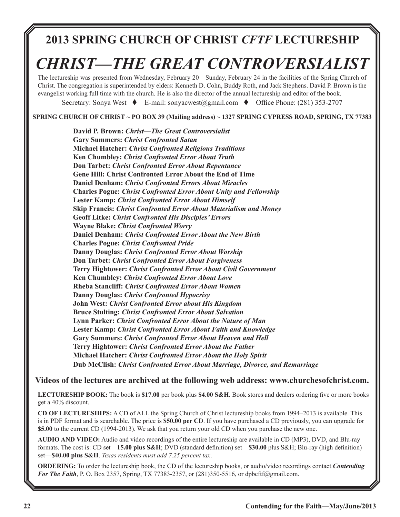## **2013 SPRING CHURCH OF CHRIST** *CFTF* **LECTURESHIP**

# *CHRIST—THE GREAT CONTROVERSIALIST*

The lectureship was presented from Wednesday, February 20—Sunday, February 24 in the facilities of the Spring Church of Christ. The congregation is superintended by elders: Kenneth D. Cohn, Buddy Roth, and Jack Stephens. David P. Brown is the evangelist working full time with the church. He is also the director of the annual lectureship and editor of the book.

Secretary: Sonya West  $\bullet$  E-mail: sonyacwest@gmail.com  $\bullet$  Office Phone: (281) 353-2707

**SPRING CHURCH OF CHRIST ~ PO BOX 39 (Mailing address) ~ 1327 SPRING CYPRESS ROAD, SPRING, TX 77383**

**David P. Brown:** *Christ—The Great Controversialist* **Gary Summers:** *Christ Confronted Satan* **Michael Hatcher:** *Christ Confronted Religious Traditions* **Ken Chumbley:** *Christ Confronted Error About Truth* **Don Tarbet:** *Christ Confronted Error About Repentance* **Gene Hill: Christ Confronted Error About the End of Time Daniel Denham:** *Christ Confronted Errors About Miracles* **Charles Pogue:** *Christ Confronted Error About Unity and Fellowship* **Lester Kamp:** *Christ Confronted Error About Himself*  **Skip Francis:** *Christ Confronted Error About Materialism and Money* **Geoff Litke:** *Christ Confronted His Disciples' Errors* **Wayne Blake:** *Christ Confronted Worry*  **Daniel Denham:** *Christ Confronted Error About the New Birth* **Charles Pogue:** *Christ Confronted Pride* **Danny Douglas:** *Christ Confronted Error About Worship* **Don Tarbet:** *Christ Confronted Error About Forgiveness*  **Terry Hightower:** *Christ Confronted Error About Civil Government* **Ken Chumbley:** *Christ Confronted Error About Love* **Rheba Stancliff:** *Christ Confronted Error About Women*  **Danny Douglas:** *Christ Confronted Hypocrisy* **John West:** *Christ Confronted Error about His Kingdom*  **Bruce Stulting:** *Christ Confronted Error About Salvation* **Lynn Parker:** *Christ Confronted Error About the Nature of Man*  **Lester Kamp:** *Christ Confronted Error About Faith and Knowledge* **Gary Summers:** *Christ Confronted Error About Heaven and Hell* **Terry Hightower:** *Christ Confronted Error About the Father*  **Michael Hatcher:** *Christ Confronted Error About the Holy Spirit*  **Dub McClish:** *Christ Confronted Error About Marriage, Divorce, and Remarriage*

#### **Videos of the lectures are archived at the following web address: www.churchesofchrist.com.**

**LECTURESHIP BOOK:** The book is **\$17.00** per book plus **\$4.00 S&H**. Book stores and dealers ordering five or more books get a 40% discount.

**CD OF LECTURESHIPS:** A CD of ALL the Spring Church of Christ lectureship books from 1994–2013 is available. This is in PDF format and is searchable. The price is **\$50.00 per C**D. If you have purchased a CD previously, you can upgrade for **\$5.00** to the current CD (1994-2013). We ask that you return your old CD when you purchase the new one.

**AUDIO AND VIDEO:** Audio and video recordings of the entire lectureship are available in CD (MP3), DVD, and Blu-ray formats. The cost is: CD set—**15.00 plus S&H**; DVD (standard definition) set—**\$30.00** plus S&H; Blu-ray (high definition) set—**\$40.00 plus S&H**. *Texas residents must add 7.25 percent tax*.

**ORDERING:** To order the lectureship book, the CD of the lectureship books, or audio/video recordings contact *Contending For The Faith*, P. O. Box 2357, Spring, TX 77383-2357, or (281)350-5516, or dpbcftf@gmail.com.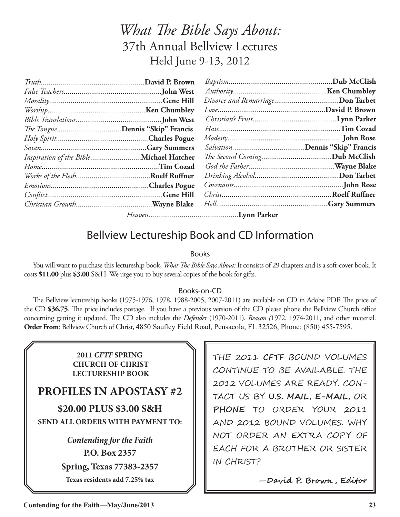## *What The Bible Says About:* 37th Annual Bellview Lectures Held June 9-13, 2012

| The TongueDennis "Skip" Francis         |  |  |
|-----------------------------------------|--|--|
|                                         |  |  |
|                                         |  |  |
| Inspiration of the BibleMichael Hatcher |  |  |
|                                         |  |  |
|                                         |  |  |
|                                         |  |  |
|                                         |  |  |
|                                         |  |  |
|                                         |  |  |

## Bellview Lectureship Book and CD Information

### Books

You will want to purchase this lectureship book, *What The Bible Says About:* It consists of 29 chapters and is a soft-cover book. It costs **\$11.00** plus **\$3.00** S&H. We urge you to buy several copies of the book for gifts.

#### Books-on-CD

The Bellview lectureship books (1975-1976, 1978, 1988-2005, 2007-2011) are available on CD in Adobe PDF. The price of the CD **\$36.75**. The price includes postage. If you have a previous version of the CD please phone the Bellview Church office concerning getting it updated. The CD also includes the *Defender* (1970-2011), *Beacon (*1972, 1974-2011, and other material. **Order From**: Bellview Church of Christ, 4850 Saufley Field Road, Pensacola, FL 32526, Phone: (850) 455-7595.

> **2011** *CFTF* **SPRING CHURCH OF CHRIST LECTURESHIP BOOK**

## **PROFILES IN APOSTASY #2**

**\$20.00 PLUS \$3.00 S&H SEND ALL ORDERS WITH PAYMENT TO:**

> *Contending for the Faith* **P.O. Box 2357 Spring, Texas 77383-2357 Texas residents add 7.25% tax**

THE 2011 **CFTF** BOUND VOLUMES CONTINUE TO BE AVAILABLE. THE 2012 VOLUMES ARE READY. CON-TACT US BY **U.S. MAIL**, **E-MAIL**, OR **PHONE** TO ORDER YOUR 2011 AND 2012 BOUND VOLUMES. WHY NOT ORDER AN EXTRA COPY OF EACH FOR A BROTHER OR SISTER IN CHRIST?

—**David P. Brown , Editor**